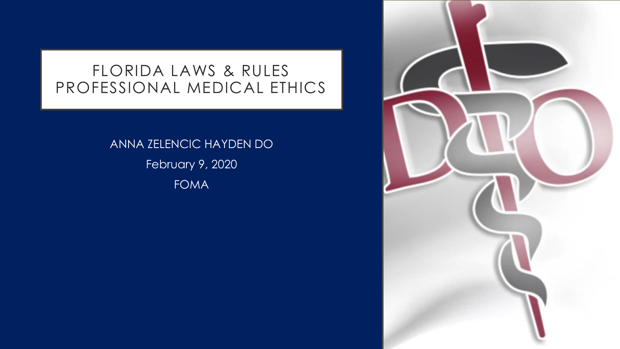#### FLORIDA LAWS & RULES PROFESSIONAL MEDICAL ETHICS

ANNA ZELENCIC HAYDEN DO February 9, 2020 FOMA

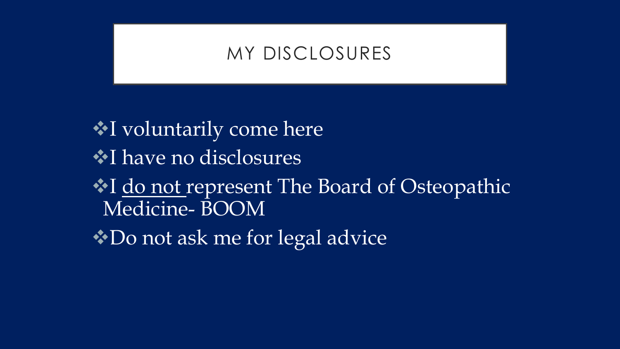#### MY DISCLOSURES

I voluntarily come here  $\cdot$  **have no disclosures**  $\cdot$  **I** do not represent The Board of Osteopathic Medicine- BOOM  $\cdot\cdot$  Do not ask me for legal advice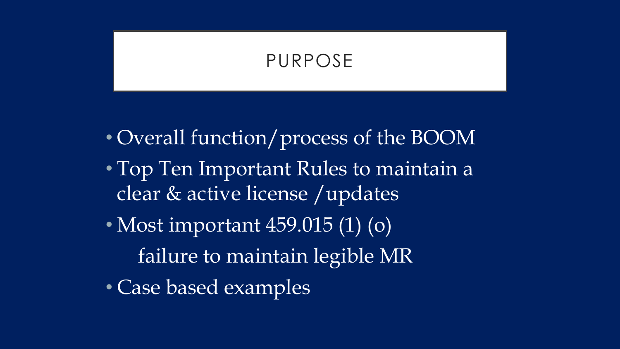## PURPOSE

- Overall function/process of the BOOM
- Top Ten Important Rules to maintain a clear & active license /updates
- Most important 459.015 (1) (o) failure to maintain legible MR
- Case based examples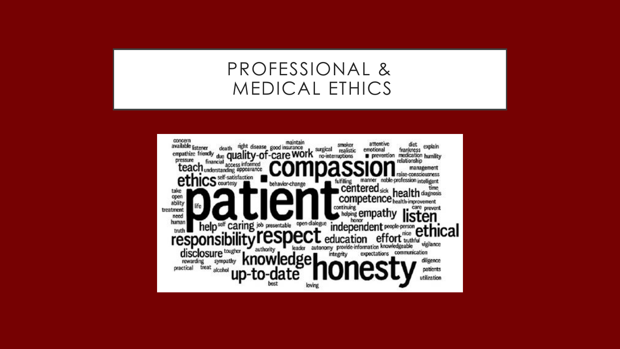## PROFESSIONAL & MEDICAL ETHICS

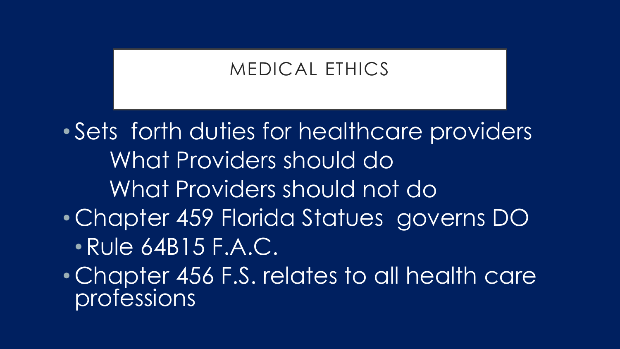# MEDICAL ETHICS

• Sets forth duties for healthcare providers What Providers should do What Providers should not do • Chapter 459 Florida Statues governs DO •Rule 64B15 F.A.C.

• Chapter 456 F.S. relates to all health care professions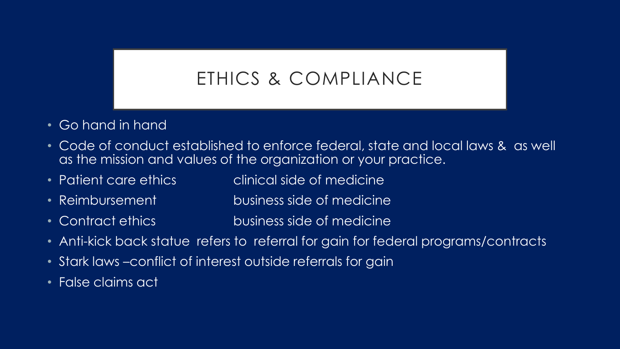# ETHICS & COMPLIANCE

- Go hand in hand
- Code of conduct established to enforce federal, state and local laws & as well as the mission and values of the organization or your practice.
- Patient care ethics clinical side of medicine
- Reimbursement business side of medicine
- Contract ethics business side of medicine
- Anti-kick back statue refers to referral for gain for federal programs/contracts
- Stark laws –conflict of interest outside referrals for gain
- False claims act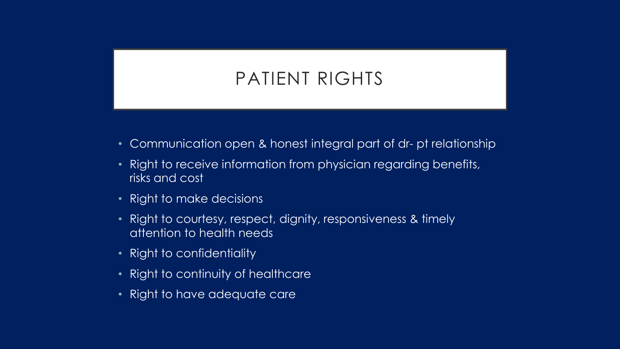# PATIENT RIGHTS

- Communication open & honest integral part of dr- pt relationship
- Right to receive information from physician regarding benefits, risks and cost
- Right to make decisions
- Right to courtesy, respect, dignity, responsiveness & timely attention to health needs
- Right to confidentiality
- Right to continuity of healthcare
- Right to have adequate care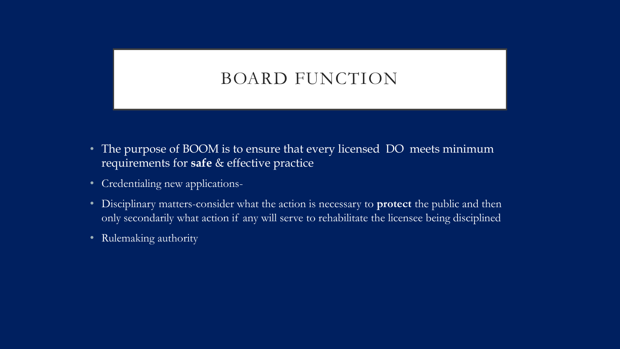#### BOARD FUNCTION

- The purpose of BOOM is to ensure that every licensed DO meets minimum requirements for **safe** & effective practice
- Credentialing new applications-
- Disciplinary matters-consider what the action is necessary to **protect** the public and then only secondarily what action if any will serve to rehabilitate the licensee being disciplined
- Rulemaking authority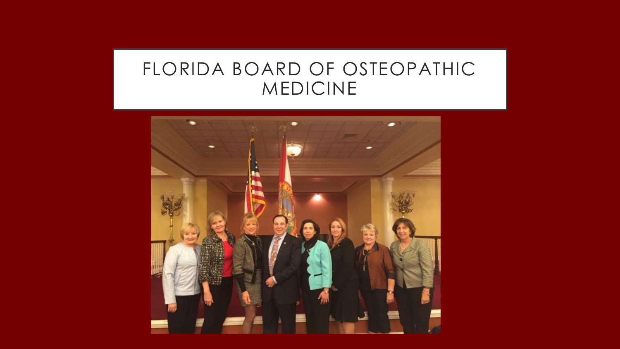# FLORIDA BOARD OF OSTEOPATHIC MEDICINE

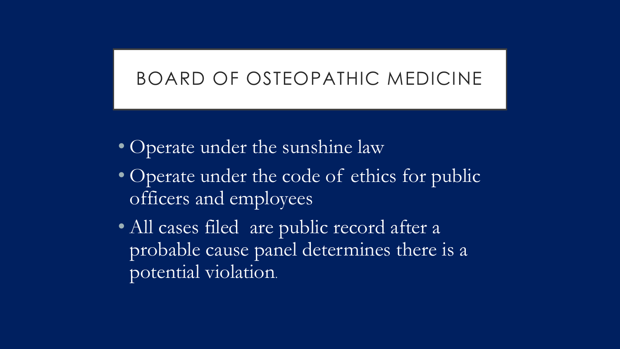## BOARD OF OSTEOPATHIC MEDICINE

- Operate under the sunshine law
- Operate under the code of ethics for public officers and employees
- All cases filed are public record after a probable cause panel determines there is a potential violation.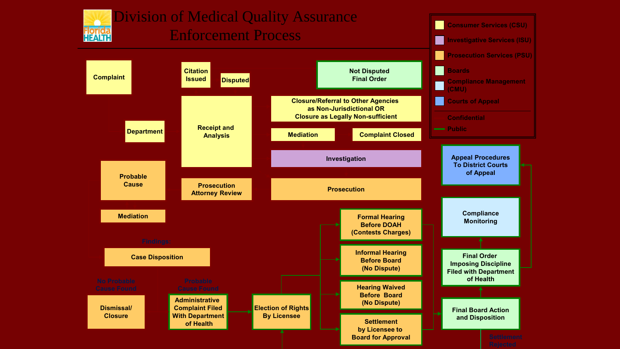

#### Division of Medical Quality Assurance Enforcement Process



**Consumer Services (CSU)**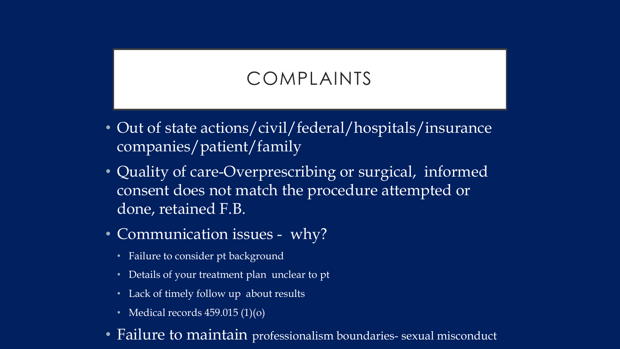# COMPLAINTS

- Out of state actions/civil/federal/hospitals/insurance companies/patient/family
- Quality of care-Overprescribing or surgical, informed consent does not match the procedure attempted or done, retained F.B.
- Communication issues why?
	- Failure to consider pt background
	- Details of your treatment plan unclear to pt
	- Lack of timely follow up about results
	- Medical records  $459.015(1)(o)$
- Failure to maintain professionalism boundaries- sexual misconduct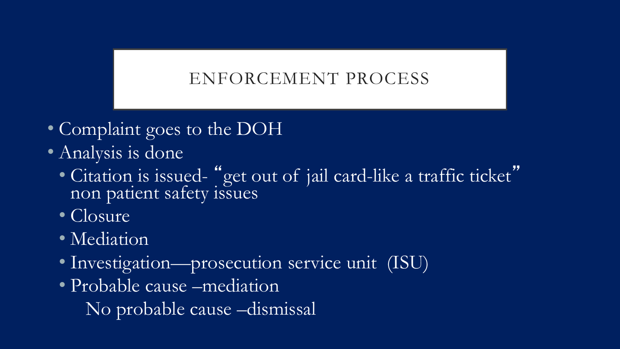#### ENFORCEMENT PROCESS

- Complaint goes to the DOH
- Analysis is done
	- Citation is issued- "get out of jail card-like a traffic ticket" non patient safety issues
	- Closure
	- Mediation
	- Investigation—prosecution service unit (ISU)
	- Probable cause –mediation
		- No probable cause –dismissal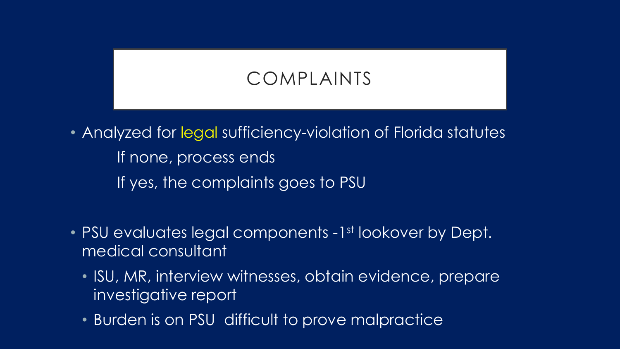# COMPLAINTS

• Analyzed for legal sufficiency-violation of Florida statutes If none, process ends If yes, the complaints goes to PSU

- PSU evaluates legal components -1st lookover by Dept. medical consultant
	- ISU, MR, interview witnesses, obtain evidence, prepare investigative report
	- Burden is on PSU difficult to prove malpractice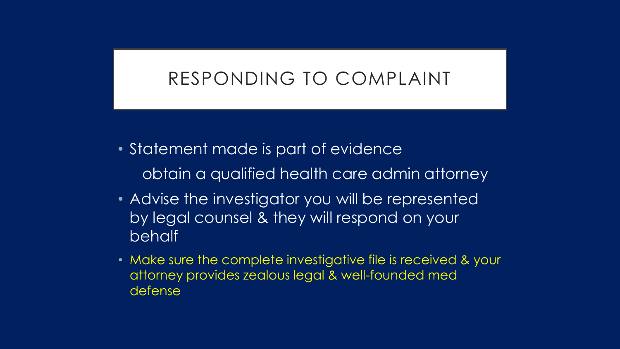### RESPONDING TO COMPLAINT

- Statement made is part of evidence obtain a qualified health care admin attorney
- Advise the investigator you will be represented by legal counsel & they will respond on your behalf
- Make sure the complete investigative file is received & your attorney provides zealous legal & well-founded med defense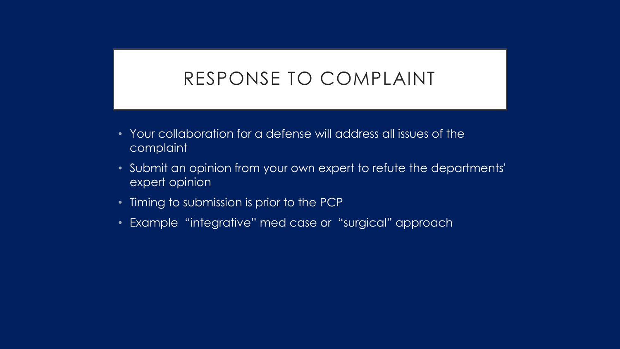## RESPONSE TO COMPLAINT

- Your collaboration for a defense will address all issues of the complaint
- Submit an opinion from your own expert to refute the departments' expert opinion
- Timing to submission is prior to the PCP
- Example "integrative" med case or "surgical" approach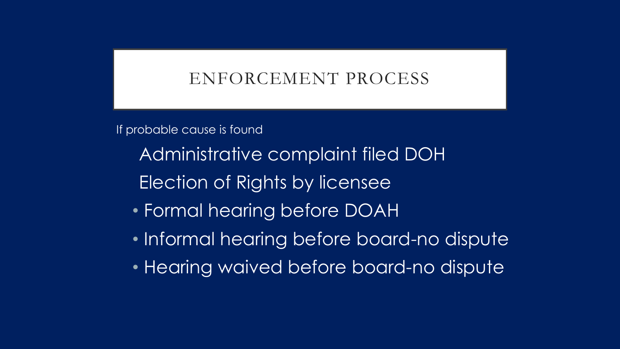#### ENFORCEMENT PROCESS

If probable cause is found

Administrative complaint filed DOH

Election of Rights by licensee

- Formal hearing before DOAH
- Informal hearing before board-no dispute
- Hearing waived before board-no dispute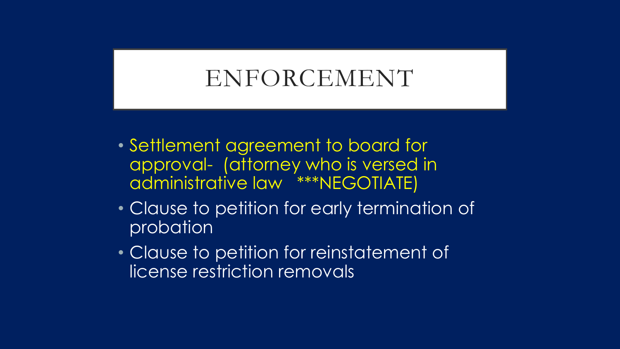# ENFORCEMENT

- Settlement agreement to board for approval- (attorney who is versed in administrative law \*\*\*NEGOTIATE)
- Clause to petition for early termination of probation
- Clause to petition for reinstatement of license restriction removals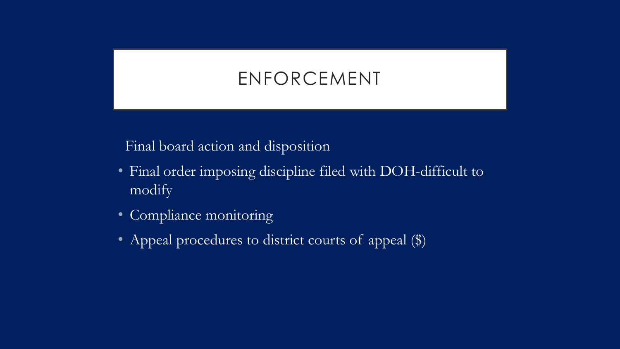# ENFORCEMENT

Final board action and disposition

- Final order imposing discipline filed with DOH-difficult to modify
- Compliance monitoring
- Appeal procedures to district courts of appeal (\$)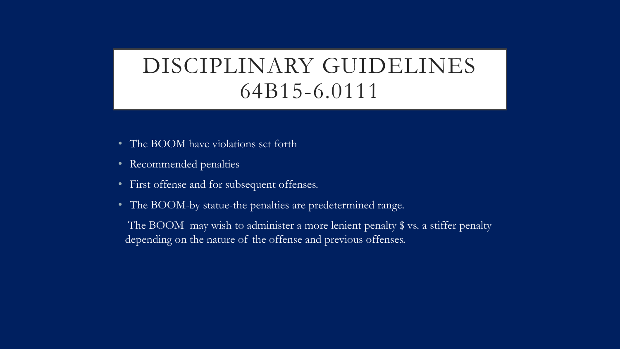# DISCIPLINARY GUIDELINES 64B15-6.0111

- The BOOM have violations set forth
- Recommended penalties
- First offense and for subsequent offenses.
- The BOOM-by statue-the penalties are predetermined range.

The BOOM may wish to administer a more lenient penalty \$ vs. a stiffer penalty depending on the nature of the offense and previous offenses.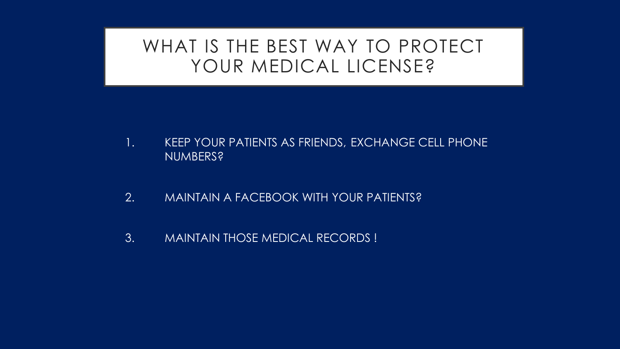#### WHAT IS THE BEST WAY TO PROTECT YOUR MEDICAL LICENSE?

- 1. KEEP YOUR PATIENTS AS FRIENDS, EXCHANGE CELL PHONE NUMBERS?
- 2. MAINTAIN A FACEBOOK WITH YOUR PATIENTS?
- 3. MAINTAIN THOSE MEDICAL RECORDS !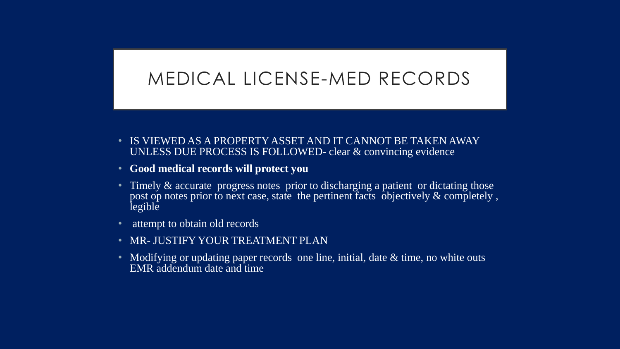## MEDICAL LICENSE-MED RECORDS

- IS VIEWED AS A PROPERTY ASSET AND IT CANNOT BE TAKEN AWAY UNLESS DUE PROCESS IS FOLLOWED- clear & convincing evidence
- **Good medical records will protect you**
- Timely & accurate progress notes prior to discharging a patient or dictating those post op notes prior to next case, state the pertinent facts objectively  $\&$  completely, legible
- attempt to obtain old records
- **MR- JUSTIFY YOUR TREATMENT PLAN**
- Modifying or updating paper records one line, initial, date  $\&$  time, no white outs EMR addendum date and time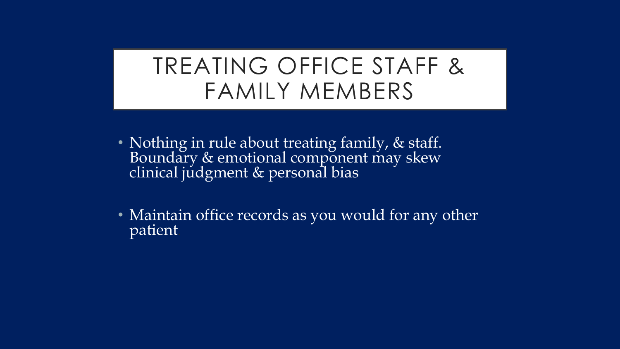# TREATING OFFICE STAFF & FAMILY MEMBERS

- Nothing in rule about treating family, & staff. Boundary & emotional component may skew clinical judgment & personal bias
- Maintain office records as you would for any other patient.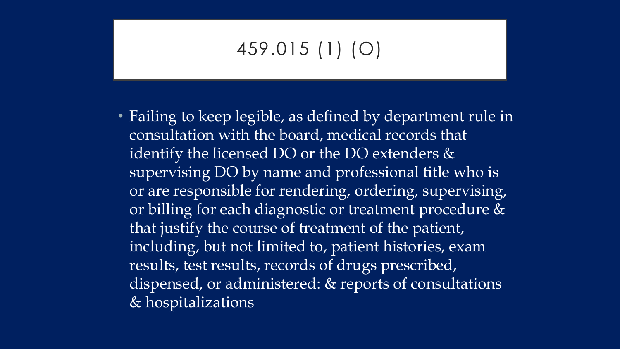# 459.015 (1) (O)

• Failing to keep legible, as defined by department rule in consultation with the board, medical records that identify the licensed DO or the DO extenders & supervising DO by name and professional title who is or are responsible for rendering, ordering, supervising, or billing for each diagnostic or treatment procedure & that justify the course of treatment of the patient, including, but not limited to, patient histories, exam results, test results, records of drugs prescribed, dispensed, or administered: & reports of consultations & hospitalizations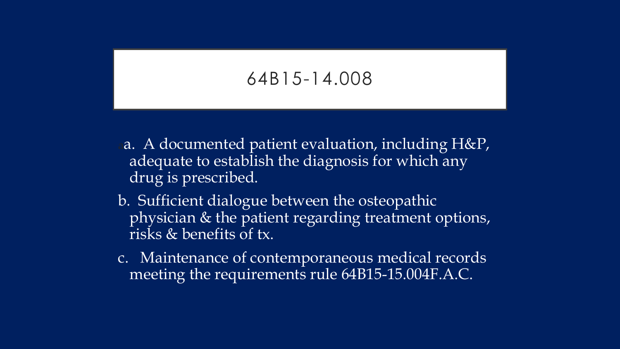### 64B15-14.008

- aa. A documented patient evaluation, including H&P, adequate to establish the diagnosis for which any drug is prescribed.
- b. Sufficient dialogue between the osteopathic physician & the patient regarding treatment options, risks & benefits of tx.
- c. Maintenance of contemporaneous medical records meeting the requirements rule 64B15-15.004F.A.C.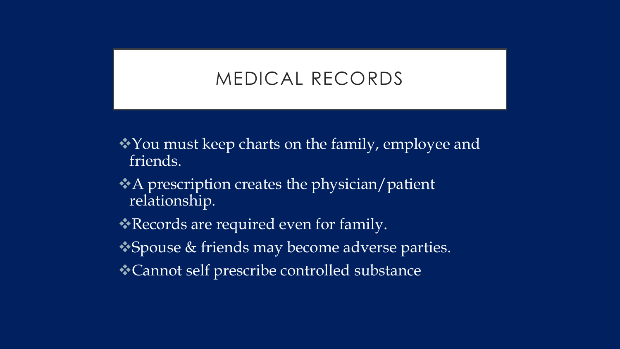## MEDICAL RECORDS

- You must keep charts on the family, employee and friends.
- A prescription creates the physician/patient relationship.
- **Records are required even for family.**
- ◆ Spouse & friends may become adverse parties.
- Cannot self prescribe controlled substance.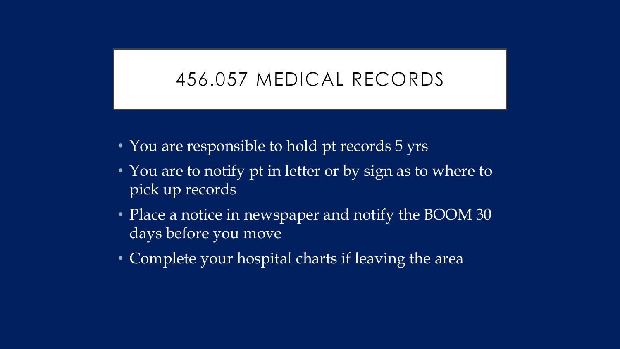## 456.057 MEDICAL RECORDS

- You are responsible to hold pt records 5 yrs
- You are to notify pt in letter or by sign as to where to pick up records
- Place a notice in newspaper and notify the BOOM 30 days before you move
- Complete your hospital charts if leaving the area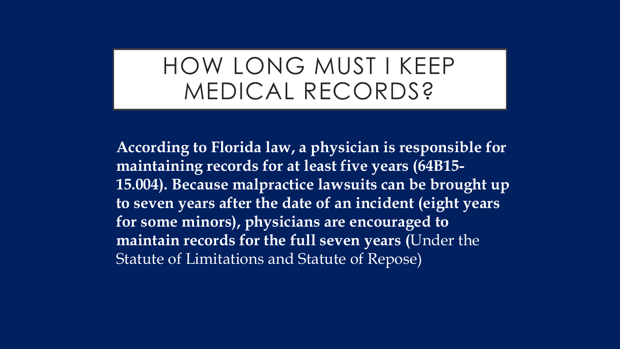# HOW LONG MUST I KEEP MEDICAL RECORDS?

**According to Florida law, a physician is responsible for maintaining records for at least five years (64B15- 15.004). Because malpractice lawsuits can be brought up to seven years after the date of an incident (eight years for some minors), physicians are encouraged to maintain records for the full seven years (**Under the Statute of Limitations and Statute of Repose)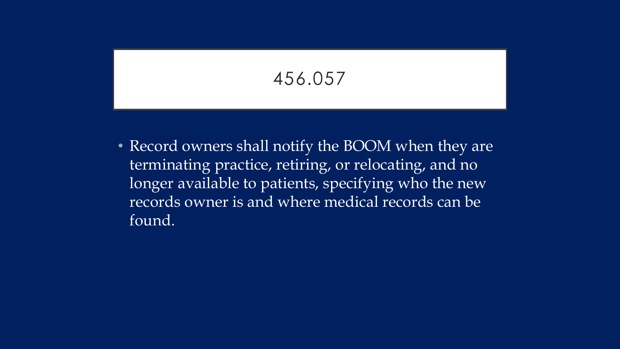456.057

• Record owners shall notify the BOOM when they are terminating practice, retiring, or relocating, and no longer available to patients, specifying who the new records owner is and where medical records can be found.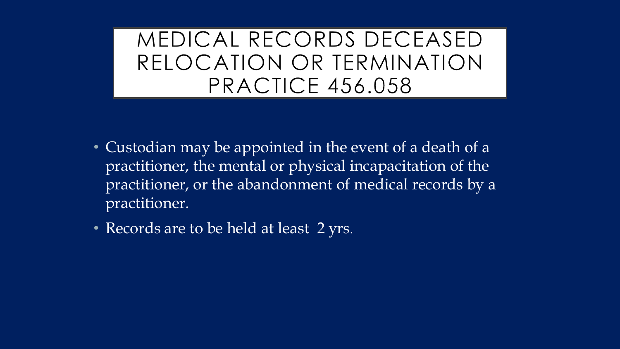MEDICAL RECORDS DECEASED RELOCATION OR TERMINATION **PRACTICE 456.058** 

- Custodian may be appointed in the event of a death of a practitioner, the mental or physical incapacitation of the practitioner, or the abandonment of medical records by a practitioner.
- Records are to be held at least 2 yrs.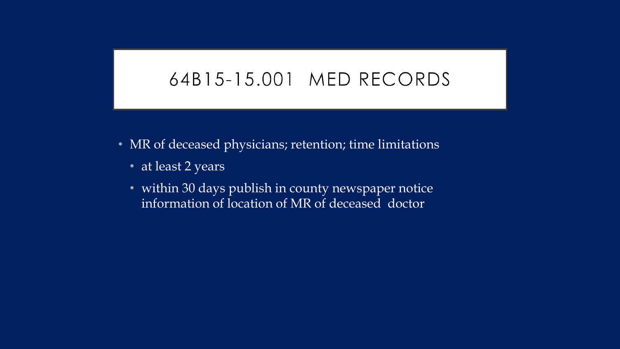#### 64B15-15.001 MED RECORDS

- MR of deceased physicians; retention; time limitations
	- at least 2 years
	- within 30 days publish in county newspaper notice information of location of MR of deceased doctor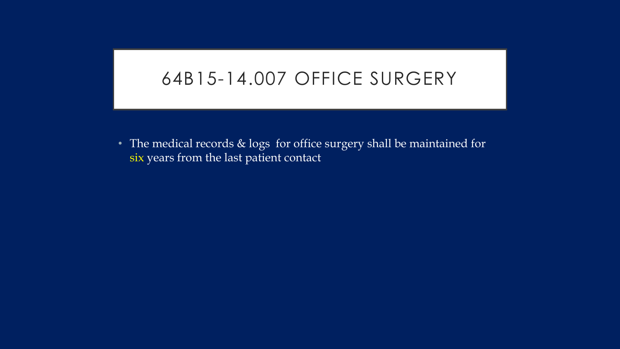#### 64B15-14.007 OFFICE SURGERY

• The medical records & logs for office surgery shall be maintained for six years from the last patient contact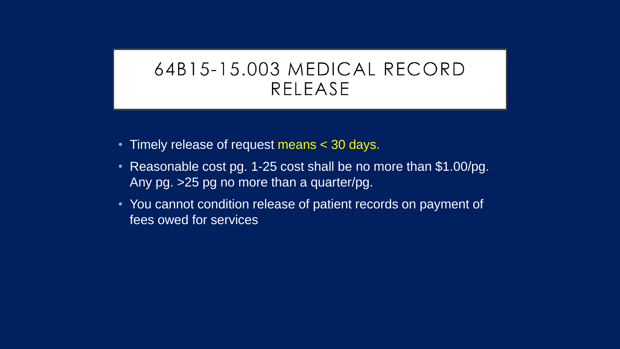# 64B15-15.003 MEDICAL RECORD RELEASE

- Timely release of request means < 30 days.
- Reasonable cost pg. 1-25 cost shall be no more than \$1.00/pg. Any pg. >25 pg no more than a quarter/pg.
- You cannot condition release of patient records on payment of fees owed for services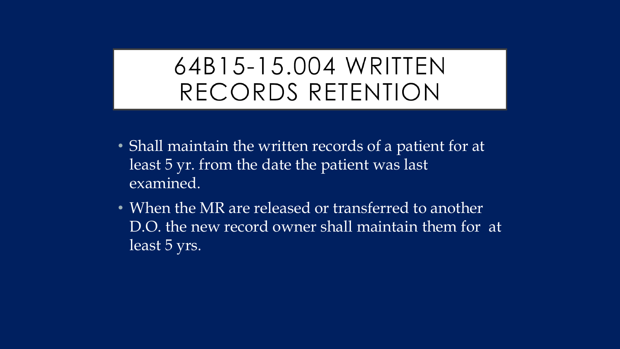# 64B15-15.004 WRITTEN RECORDS RETENTION

- Shall maintain the written records of a patient for at least 5 yr. from the date the patient was last examined.
- When the MR are released or transferred to another D.O. the new record owner shall maintain them for at least 5 yrs.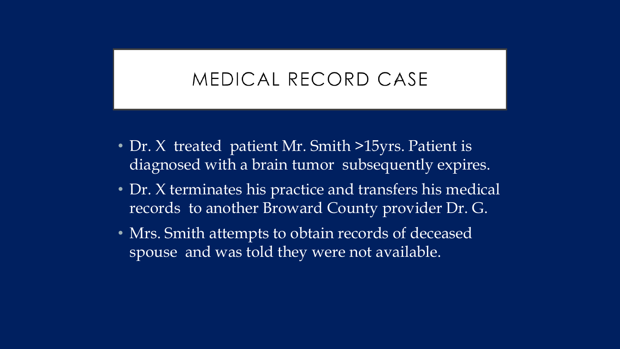# MEDICAL RECORD CASE

- Dr. X treated patient Mr. Smith >15yrs. Patient is diagnosed with a brain tumor subsequently expires.
- Dr. X terminates his practice and transfers his medical records to another Broward County provider Dr. G.
- Mrs. Smith attempts to obtain records of deceased spouse and was told they were not available.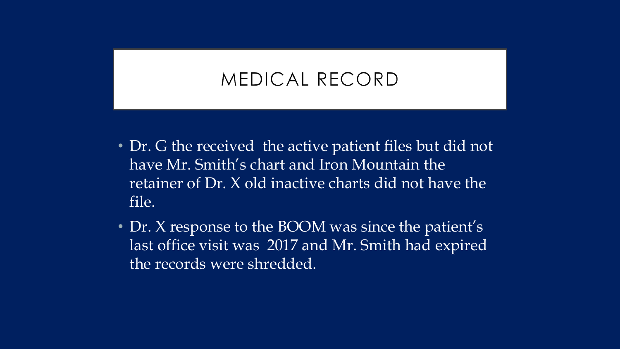# MEDICAL RECORD

- Dr. G the received the active patient files but did not have Mr. Smith's chart and Iron Mountain the retainer of Dr. X old inactive charts did not have the file.
- Dr. X response to the BOOM was since the patient's last office visit was 2017 and Mr. Smith had expired the records were shredded.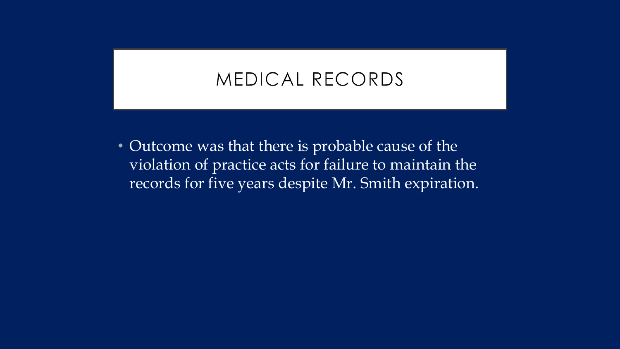#### MEDICAL RECORDS

• Outcome was that there is probable cause of the violation of practice acts for failure to maintain the records for five years despite Mr. Smith expiration.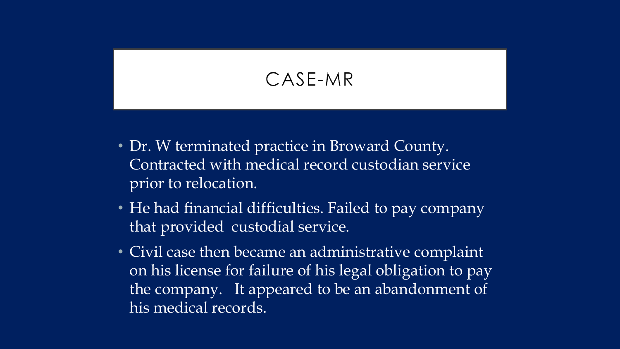## CASE-MR

- Dr. W terminated practice in Broward County. Contracted with medical record custodian service prior to relocation.
- He had financial difficulties. Failed to pay company that provided custodial service.
- Civil case then became an administrative complaint on his license for failure of his legal obligation to pay the company. It appeared to be an abandonment of his medical records.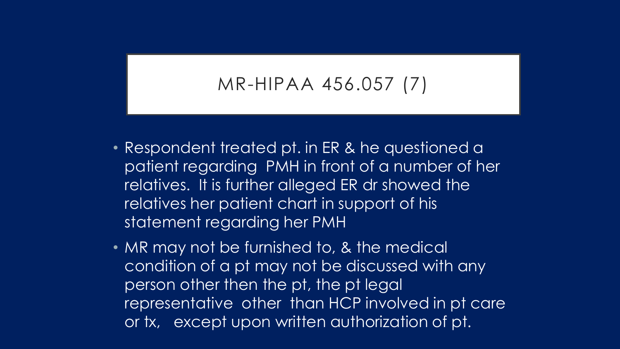#### MR-HIPAA 456.057 (7)

- Respondent treated pt. in ER & he questioned a patient regarding PMH in front of a number of her relatives. It is further alleged ER dr showed the relatives her patient chart in support of his statement regarding her PMH
- MR may not be furnished to, & the medical condition of a pt may not be discussed with any person other then the pt, the pt legal representative other than HCP involved in pt care or tx, except upon written authorization of pt.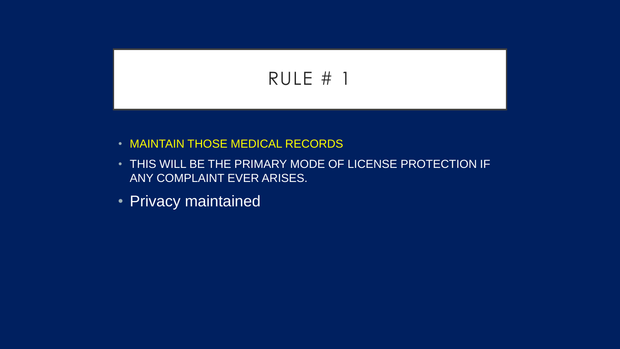## RULE # 1

- MAINTAIN THOSE MEDICAL RECORDS
- THIS WILL BE THE PRIMARY MODE OF LICENSE PROTECTION IF ANY COMPLAINT EVER ARISES.
- Privacy maintained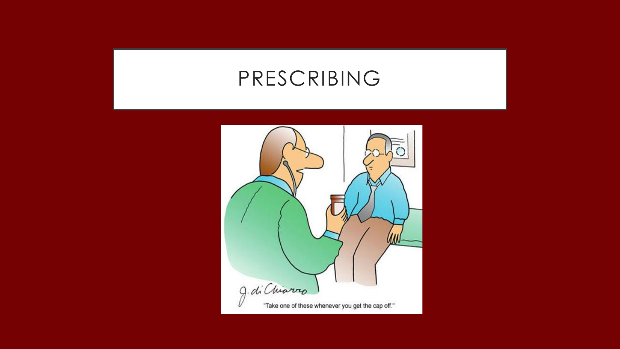## PRESCRIBING

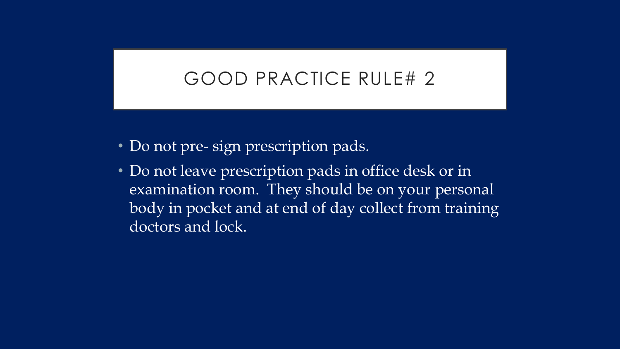## GOOD PRACTICE RULE# 2

- Do not pre- sign prescription pads.
- Do not leave prescription pads in office desk or in examination room. They should be on your personal body in pocket and at end of day collect from training doctors and lock.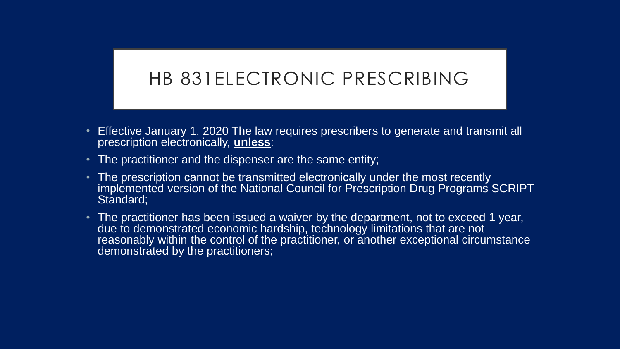#### HB 831ELECTRONIC PRESCRIBING

- Effective January 1, 2020 The law requires prescribers to generate and transmit all prescription electronically, **unless**:
- The practitioner and the dispenser are the same entity;
- The prescription cannot be transmitted electronically under the most recently implemented version of the National Council for Prescription Drug Programs SCRIPT Standard:
- The practitioner has been issued a waiver by the department, not to exceed 1 year, due to demonstrated economic hardship, technology limitations that are not reasonably within the control of the practitioner, or another exceptional circumstance demonstrated by the practitioners;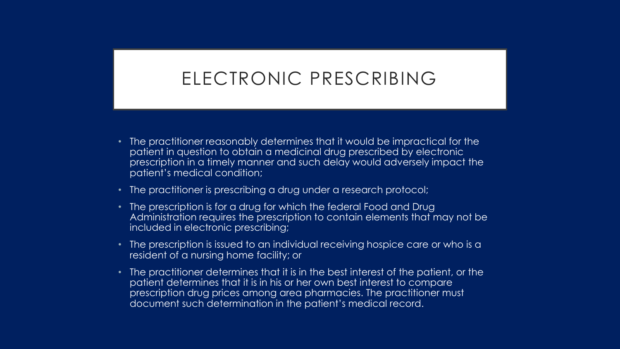#### ELECTRONIC PRESCRIBING

- The practitioner reasonably determines that it would be impractical for the patient in question to obtain a medicinal drug prescribed by electronic prescription in a timely manner and such delay would adversely impact the patient's medical condition;
- The practitioner is prescribing a drug under a research protocol;
- The prescription is for a drug for which the federal Food and Drug Administration requires the prescription to contain elements that may not be included in electronic prescribing;
- The prescription is issued to an individual receiving hospice care or who is a resident of a nursing home facility; or
- The practitioner determines that it is in the best interest of the patient, or the patient determines that it is in his or her own best interest to compare prescription drug prices among area pharmacies. The practitioner must document such determination in the patient's medical record.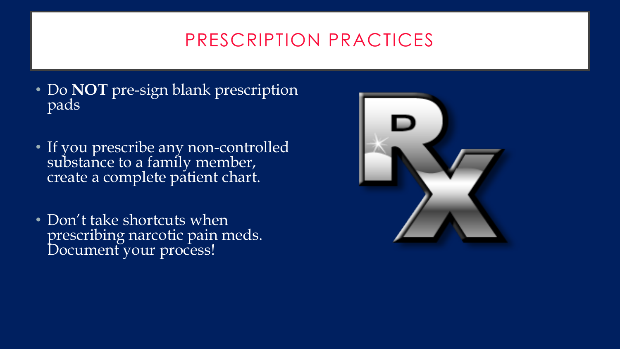## PRESCRIPTION PRACTICES

- Do **NOT** pre-sign blank prescription pads
- If you prescribe any non-controlled substance to a family member, create a complete patient chart.
- Don't take shortcuts when prescribing narcotic pain meds. Document your process!

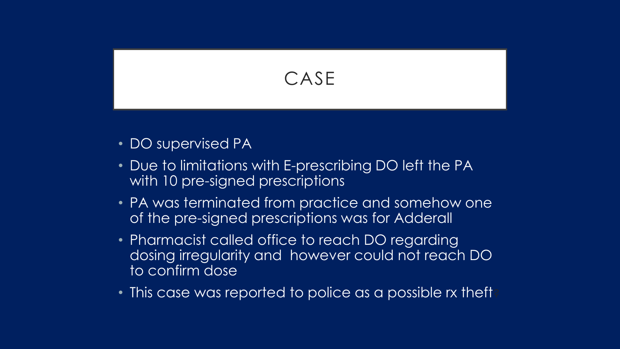

- DO supervised PA
- Due to limitations with E-prescribing DO left the PA with 10 pre-signed prescriptions
- PA was terminated from practice and somehow one of the pre-signed prescriptions was for Adderall
- Pharmacist called office to reach DO regarding dosing irregularity and however could not reach DO to confirm dose
- This case was reported to police as a possible rx theft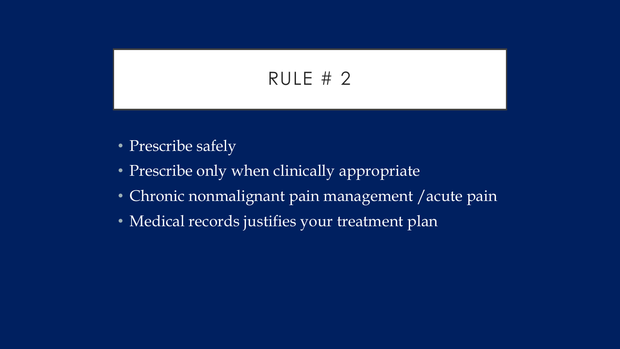## RULE # 2

- Prescribe safely
- Prescribe only when clinically appropriate
- Chronic nonmalignant pain management /acute pain
- Medical records justifies your treatment plan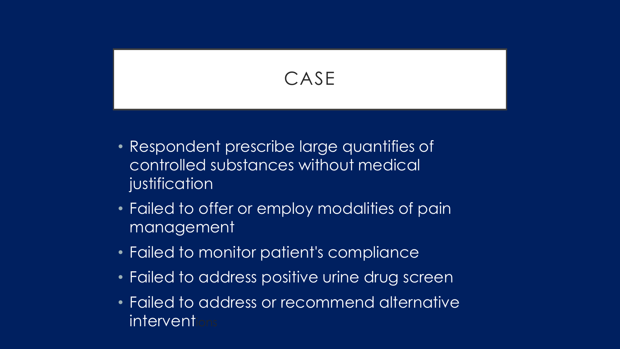## CASE

- Respondent prescribe large quantifies of controlled substances without medical justification
- Failed to offer or employ modalities of pain management
- Failed to monitor patient's compliance
- Failed to address positive urine drug screen
- Failed to address or recommend alternative interventi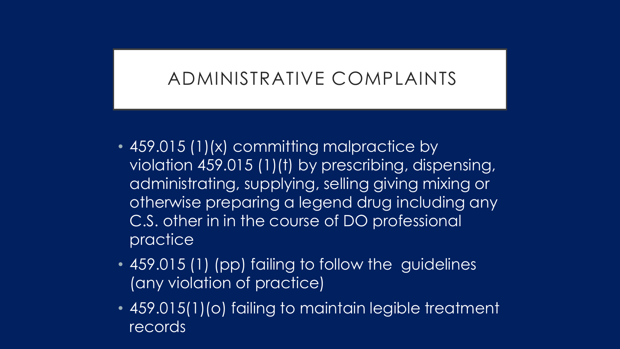### ADMINISTRATIVE COMPLAINTS

- 459.015 (1)(x) committing malpractice by violation 459.015 (1)(t) by prescribing, dispensing, administrating, supplying, selling giving mixing or otherwise preparing a legend drug including any C.S. other in in the course of DO professional practice
- 459.015 (1) (pp) failing to follow the guidelines (any violation of practice)
- 459.015(1)(o) failing to maintain legible treatment records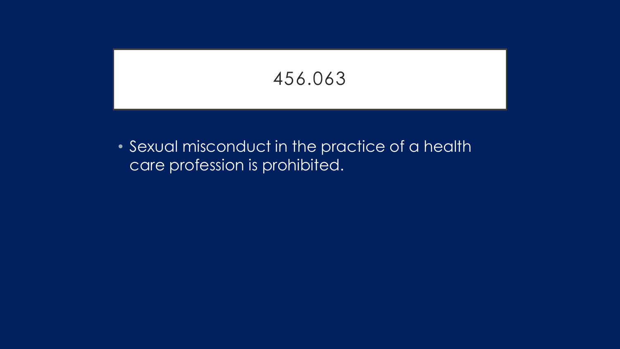456.063

• Sexual misconduct in the practice of a health care profession is prohibited.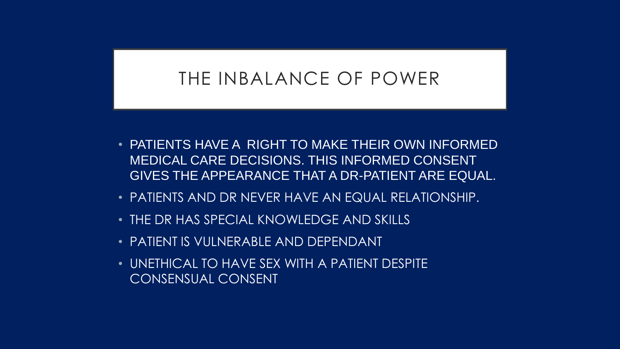#### THE INBALANCE OF POWER

- PATIENTS HAVE A RIGHT TO MAKE THEIR OWN INFORMED MEDICAL CARE DECISIONS. THIS INFORMED CONSENT GIVES THE APPEARANCE THAT A DR-PATIENT ARE EQUAL.
- PATIENTS AND DR NEVER HAVE AN EQUAL RELATIONSHIP.
- THE DR HAS SPECIAL KNOWLEDGE AND SKILLS
- PATIENT IS VULNERABLE AND DEPENDANT
- UNETHICAL TO HAVE SEX WITH A PATIENT DESPITE CONSENSUAL CONSENT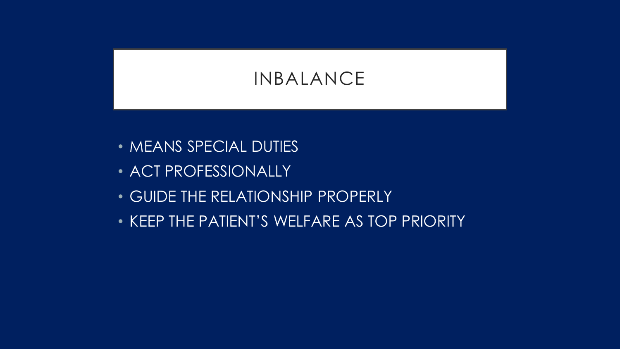## INBALANCE

- **MEANS SPECIAL DUTIES**
- ACT PROFESSIONALLY
- GUIDE THE RELATIONSHIP PROPERLY
- KEEP THE PATIENT'S WELFARE AS TOP PRIORITY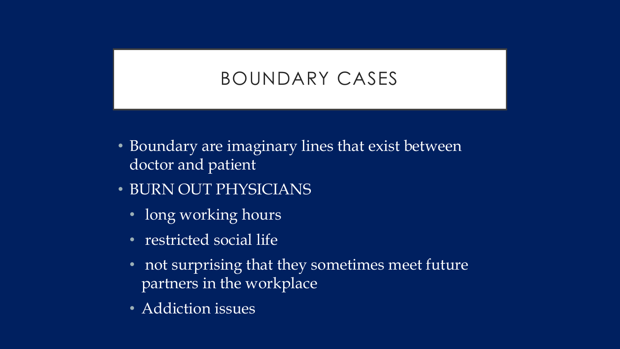## BOUNDARY CASES

- Boundary are imaginary lines that exist between doctor and patient
- BURN OUT PHYSICIANS
	- long working hours
	- restricted social life
	- not surprising that they sometimes meet future partners in the workplace
	- Addiction issues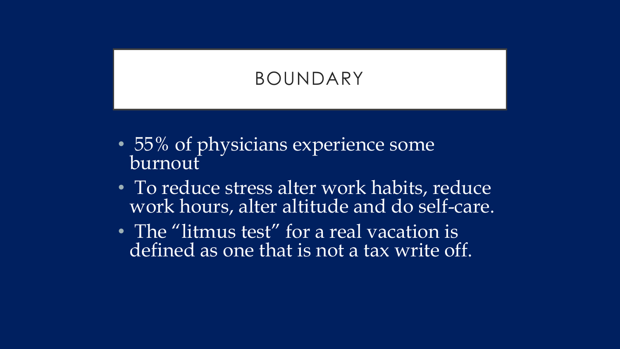## BOUNDARY

- 55% of physicians experience some burnout
- To reduce stress alter work habits, reduce work hours, alter altitude and do self-care.
- The "litmus test" for a real vacation is defined as one that is not a tax write off.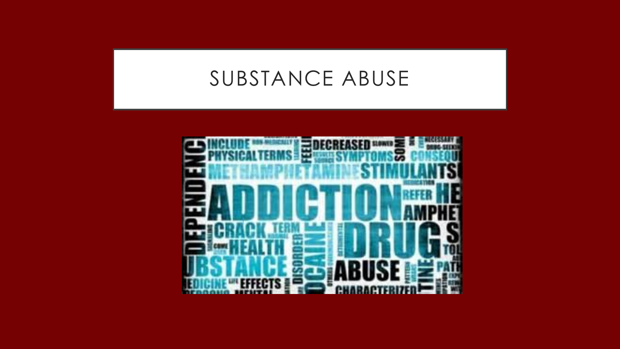## SUBSTANCE ABUSE

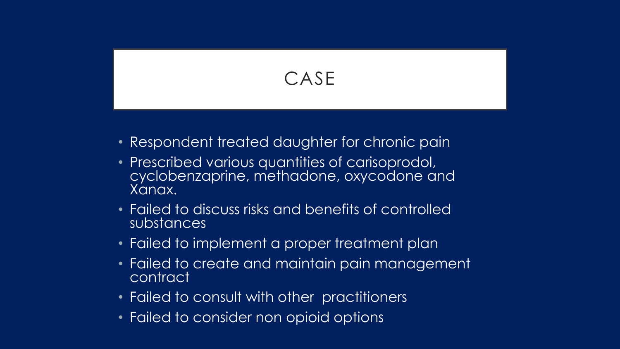## CASE

- Respondent treated daughter for chronic pain
- Prescribed various quantities of carisoprodol, cyclobenzaprine, methadone, oxycodone and Xanax.
- Failed to discuss risks and benefits of controlled substances
- Failed to implement a proper treatment plan
- Failed to create and maintain pain management contract
- Failed to consult with other practitioners
- Failed to consider non opioid options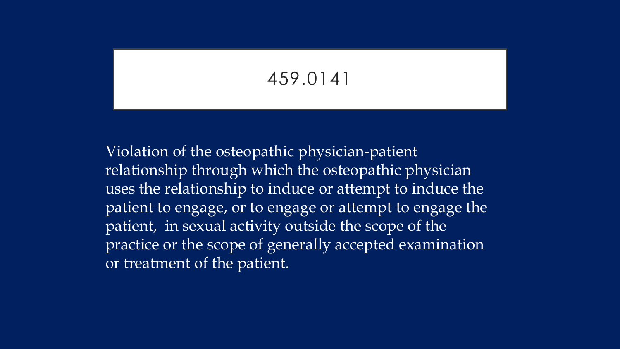#### 459.0141

Violation of the osteopathic physician-patient relationship through which the osteopathic physician uses the relationship to induce or attempt to induce the patient to engage, or to engage or attempt to engage the patient, in sexual activity outside the scope of the practice or the scope of generally accepted examination or treatment of the patient.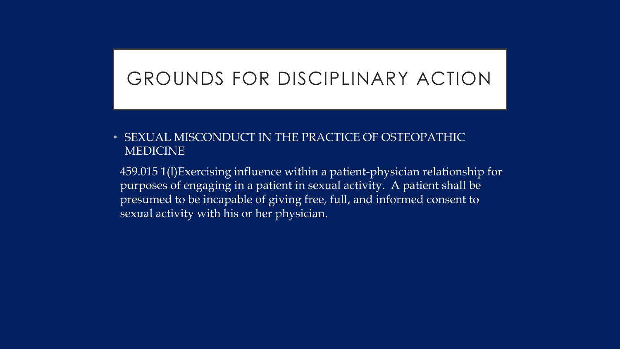#### GROUNDS FOR DISCIPLINARY ACTION

#### • SEXUAL MISCONDUCT IN THE PRACTICE OF OSTEOPATHIC MEDICINE

459.015 1(l)Exercising influence within a patient-physician relationship for purposes of engaging in a patient in sexual activity. A patient shall be presumed to be incapable of giving free, full, and informed consent to sexual activity with his or her physician.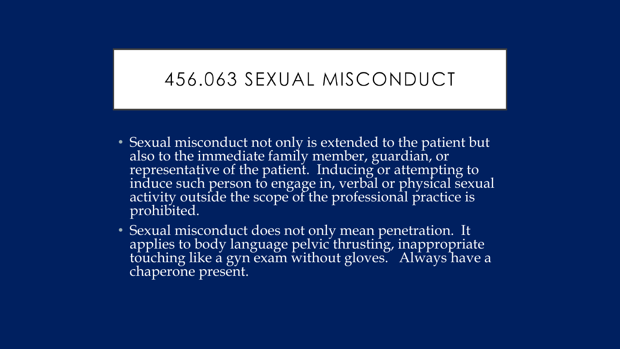#### 456.063 SEXUAL MISCONDUCT

- Sexual misconduct not only is extended to the patient but also to the immediate family member, guardian, or representative of the patient. Inducing or attempting to induce such person to engage in, verbal or physical sexual activity outside the scope of the professional practice is prohibited.
- Sexual misconduct does not only mean penetration. It applies to body language pelvic thrusting, inappropriate touching like a gyn exam without gloves. Always have a chaperone present.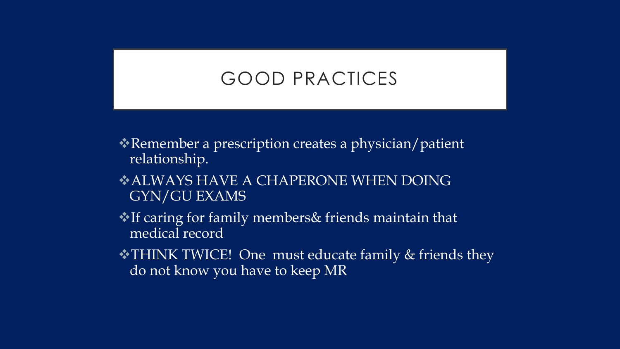#### GOOD PRACTICES

- Remember a prescription creates a physician/patient relationship.
- ALWAYS HAVE A CHAPERONE WHEN DOING GYN/GU EXAMS
- If caring for family members& friends maintain that medical record
- THINK TWICE! One must educate family & friends they do not know you have to keep MR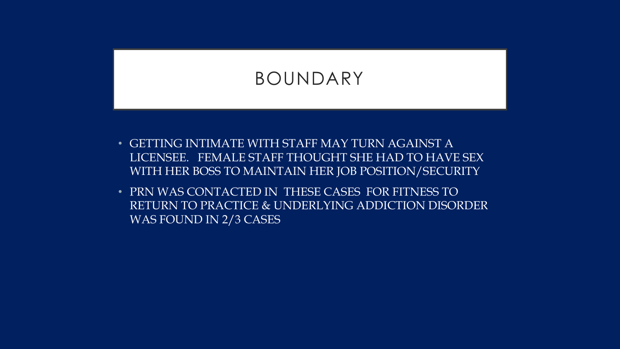#### BOUNDARY

- GETTING INTIMATE WITH STAFF MAY TURN AGAINST A LICENSEE. FEMALE STAFF THOUGHT SHE HAD TO HAVE SEX WITH HER BOSS TO MAINTAIN HER JOB POSITION/SECURITY
- PRN WAS CONTACTED IN THESE CASES FOR FITNESS TO RETURN TO PRACTICE & UNDERLYING ADDICTION DISORDER WAS FOUND IN 2/3 CASES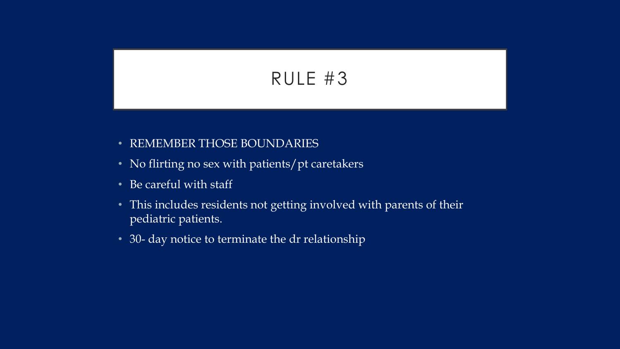### RULE #3

- REMEMBER THOSE BOUNDARIES
- No flirting no sex with patients/pt caretakers
- Be careful with staff
- This includes residents not getting involved with parents of their pediatric patients.
- 30- day notice to terminate the dr relationship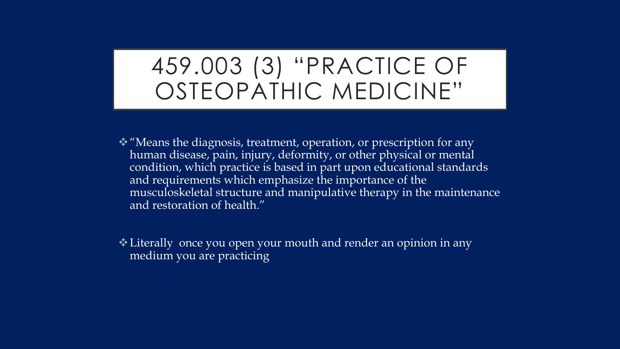# 459.003 (3) "PRACTICE OF OSTEOPATHIC MEDICINE"

- "Means the diagnosis, treatment, operation, or prescription for any human disease, pain, injury, deformity, or other physical or mental condition, which practice is based in part upon educational standards and requirements which emphasize the importance of the musculoskeletal structure and manipulative therapy in the maintenance and restoration of health."
- Literally once you open your mouth and render an opinion in any medium you are practicing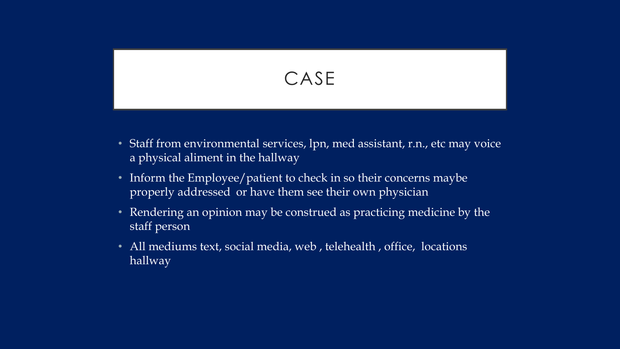## CASE

- Staff from environmental services, lpn, med assistant, r.n., etc may voice a physical aliment in the hallway
- Inform the Employee/patient to check in so their concerns maybe properly addressed or have them see their own physician
- Rendering an opinion may be construed as practicing medicine by the staff person
- All mediums text, social media, web, telehealth, office, locations hallway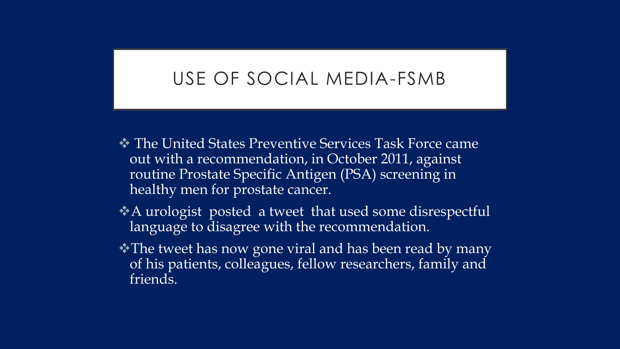#### USE OF SOCIAL MEDIA-FSMB

- The United States Preventive Services Task Force came out with a recommendation, in October 2011, against routine Prostate Specific Antigen (PSA) screening in healthy men for prostate cancer.
- A urologist posted a tweet that used some disrespectful language to disagree with the recommendation.
- The tweet has now gone viral and has been read by many of his patients, colleagues, fellow researchers, family and friends.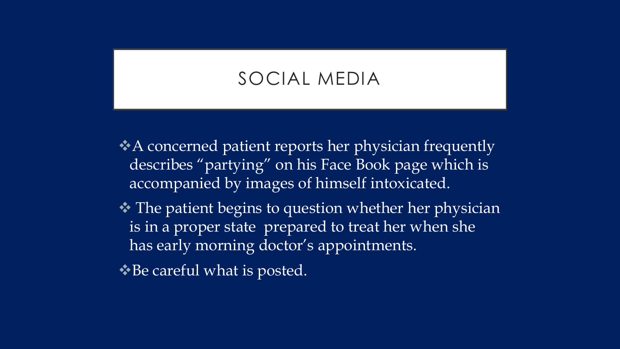#### SOCIAL MEDIA

A concerned patient reports her physician frequently describes "partying" on his Face Book page which is accompanied by images of himself intoxicated.

**❖** The patient begins to question whether her physician is in a proper state prepared to treat her when she has early morning doctor's appointments.

◆Be careful what is posted.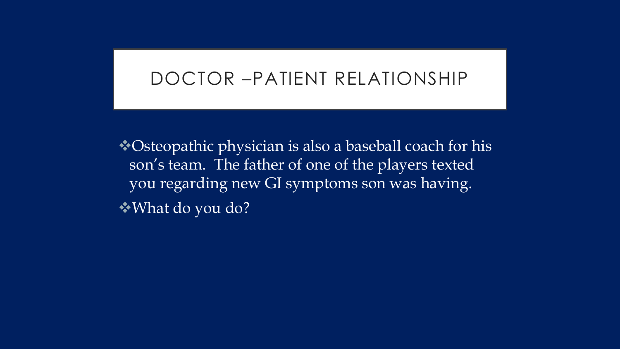#### DOCTOR –PATIENT RELATIONSHIP

Osteopathic physician is also a baseball coach for his son's team. The father of one of the players texted you regarding new GI symptoms son was having. What do you do?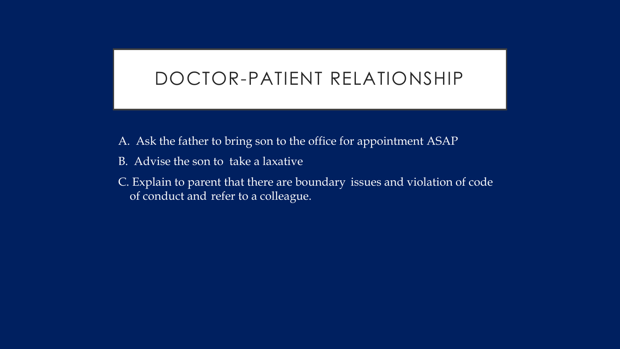#### DOCTOR-PATIENT RELATIONSHIP

- A. Ask the father to bring son to the office for appointment ASAP
- B. Advise the son to take a laxative
- C. Explain to parent that there are boundary issues and violation of code of conduct and refer to a colleague.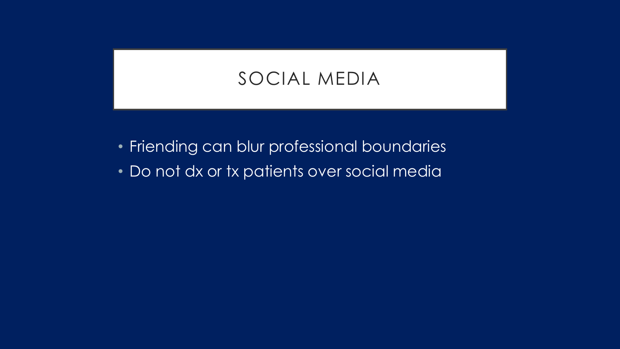#### SOCIAL MEDIA

- Friending can blur professional boundaries
- Do not dx or tx patients over social media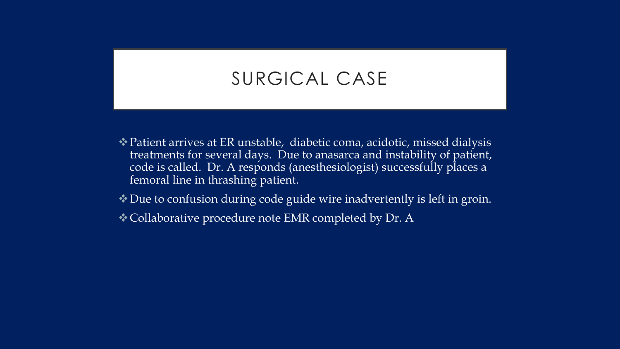#### SURGICAL CASE

- Patient arrives at ER unstable, diabetic coma, acidotic, missed dialysis treatments for several days. Due to anasarca and instability of patient, code is called. Dr. A responds (anesthesiologist) successfully places a femoral line in thrashing patient.
- Due to confusion during code guide wire inadvertently is left in groin.
- Collaborative procedure note EMR completed by Dr. A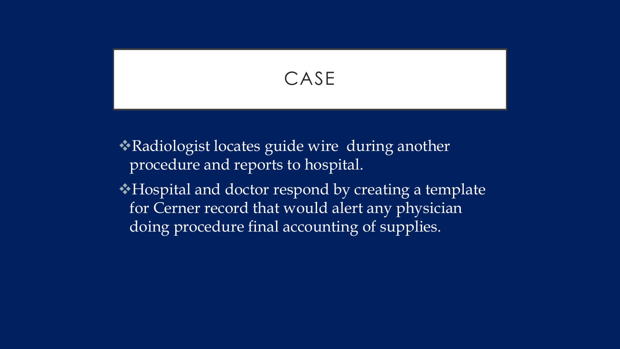

Radiologist locates guide wire during another procedure and reports to hospital.

Hospital and doctor respond by creating a template for Cerner record that would alert any physician doing procedure final accounting of supplies.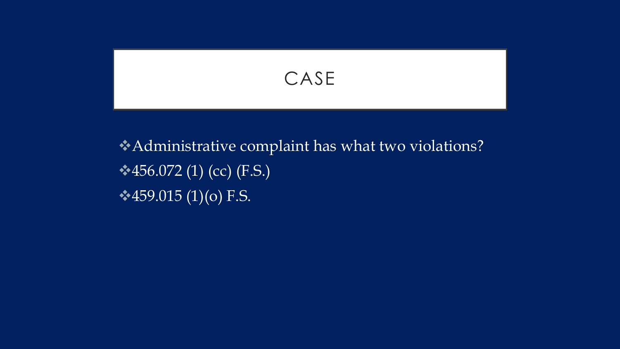CASE

## Administrative complaint has what two violations?  $\cdot$  456.072 (1) (cc) (F.S.)  $\cdot$  459.015 (1)(o) F.S.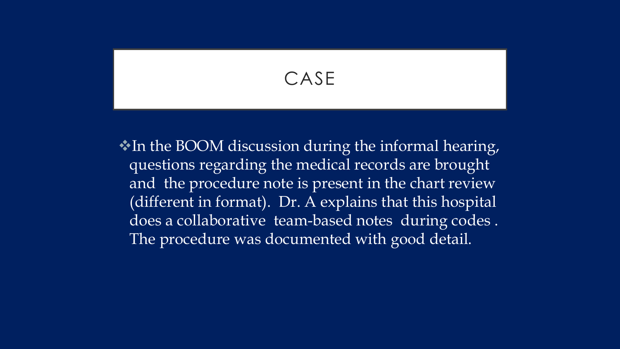CASE

 $\cdot$  In the BOOM discussion during the informal hearing, questions regarding the medical records are brought and the procedure note is present in the chart review (different in format). Dr. A explains that this hospital does a collaborative team-based notes during codes . The procedure was documented with good detail.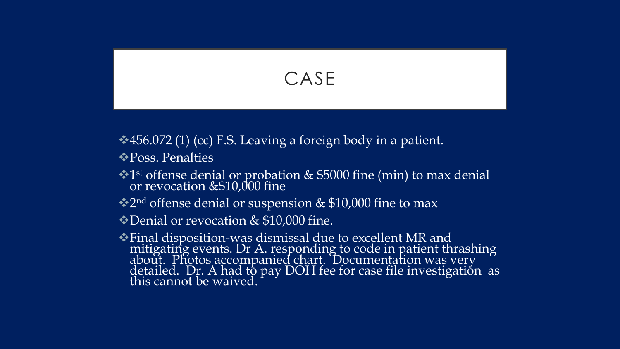

**→ 456.072 (1) (cc) F.S. Leaving a foreign body in a patient.** 

 **\* Poss. Penalties** 

•1<sup>st</sup> offense denial or probation & \$5000 fine (min) to max denial or revocation &\$10,000 fine

**★2nd offense denial or suspension & \$10,000 fine to max** 

Denial or revocation & \$10,000 fine.

Final disposition-was dismissal due to excellent MR and mitigating events. Dr A. responding to code in patient thrashing about. Photos accompanied chart. Documentation was very detailed. Dr. A had to pay DOH fee for case file investigation as this cannot be waived.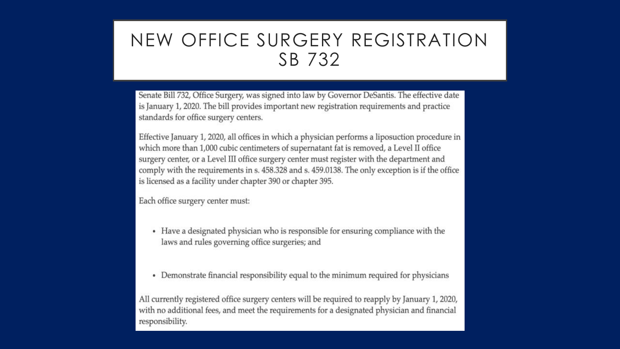### NEW OFFICE SURGERY REGISTRATION SB 732

Senate Bill 732, Office Surgery, was signed into law by Governor DeSantis. The effective date is January 1, 2020. The bill provides important new registration requirements and practice standards for office surgery centers.

Effective January 1, 2020, all offices in which a physician performs a liposuction procedure in which more than 1,000 cubic centimeters of supernatant fat is removed, a Level II office surgery center, or a Level III office surgery center must register with the department and comply with the requirements in s. 458.328 and s. 459.0138. The only exception is if the office is licensed as a facility under chapter 390 or chapter 395.

Each office surgery center must:

- Have a designated physician who is responsible for ensuring compliance with the laws and rules governing office surgeries; and
- Demonstrate financial responsibility equal to the minimum required for physicians

All currently registered office surgery centers will be required to reapply by January 1, 2020, with no additional fees, and meet the requirements for a designated physician and financial responsibility.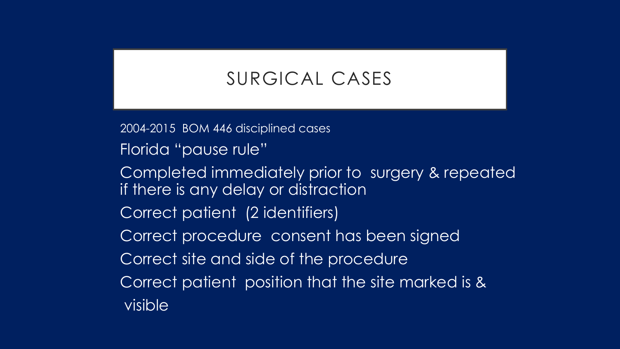### SURGICAL CASES

2004-2015 BOM 446 disciplined cases

- Florida "pause rule"
- Completed immediately prior to surgery & repeated if there is any delay or distraction
- Correct patient (2 identifiers)
- Correct procedure consent has been signed
- Correct site and side of the procedure
- Correct patient position that the site marked is &
- visible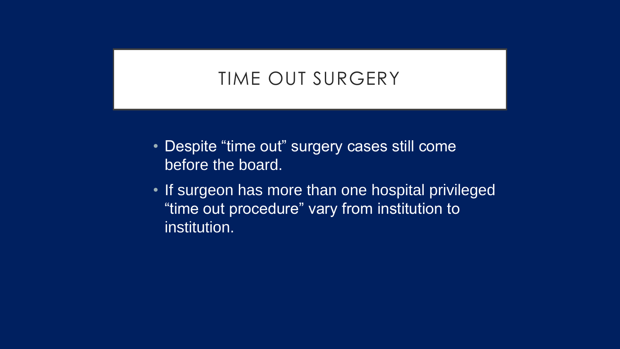## TIME OUT SURGERY

- Despite "time out" surgery cases still come before the board.
- If surgeon has more than one hospital privileged "time out procedure" vary from institution to institution.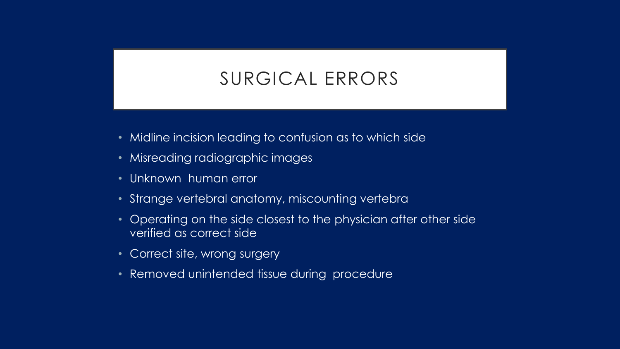### SURGICAL ERRORS

- Midline incision leading to confusion as to which side
- Misreading radiographic images
- Unknown human error
- Strange vertebral anatomy, miscounting vertebra
- Operating on the side closest to the physician after other side verified as correct side
- Correct site, wrong surgery
- Removed unintended tissue during procedure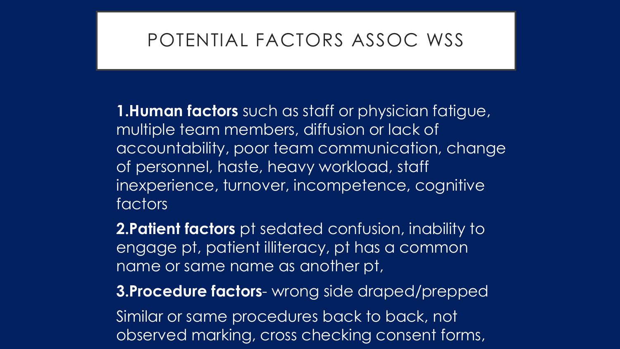### POTENTIAL FACTORS ASSOC WSS

**1.Human factors** such as staff or physician fatigue, multiple team members, diffusion or lack of accountability, poor team communication, change of personnel, haste, heavy workload, staff inexperience, turnover, incompetence, cognitive factors

**2.Patient factors** pt sedated confusion, inability to engage pt, patient illiteracy, pt has a common name or same name as another pt,

**3.Procedure factors**- wrong side draped/prepped

Similar or same procedures back to back, not observed marking, cross checking consent forms,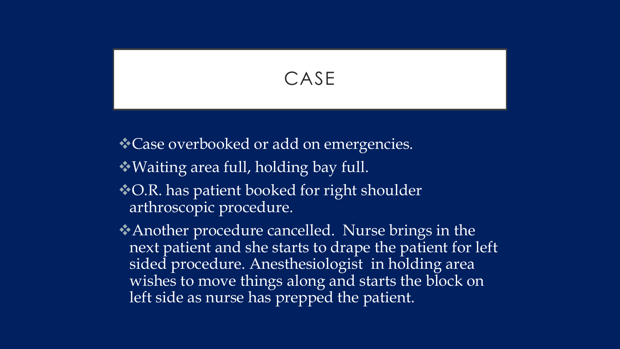### CASE

**★ Case overbooked or add on emergencies.** 

- Waiting area full, holding bay full.
- **◆ O.R. has patient booked for right shoulder** arthroscopic procedure.
- Another procedure cancelled. Nurse brings in the next patient and she starts to drape the patient for left sided procedure. Anesthesiologist in holding area wishes to move things along and starts the block on left side as nurse has prepped the patient.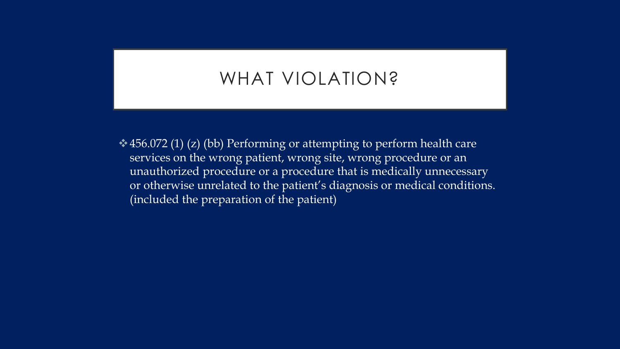### WHAT VIOLATION?

 $\leftrightarrow$  456.072 (1) (z) (bb) Performing or attempting to perform health care services on the wrong patient, wrong site, wrong procedure or an unauthorized procedure or a procedure that is medically unnecessary or otherwise unrelated to the patient's diagnosis or medical conditions. (included the preparation of the patient)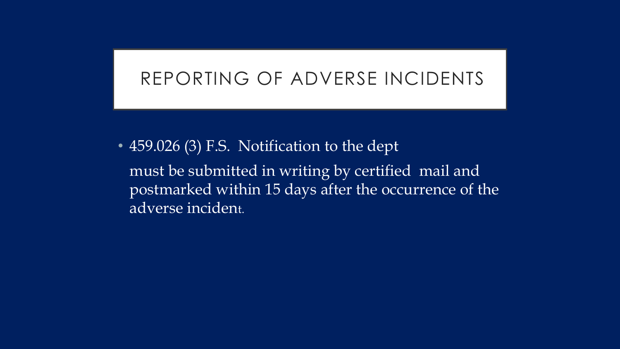#### REPORTING OF ADVERSE INCIDENTS

• 459.026 (3) F.S. Notification to the dept must be submitted in writing by certified mail and postmarked within 15 days after the occurrence of the adverse incident.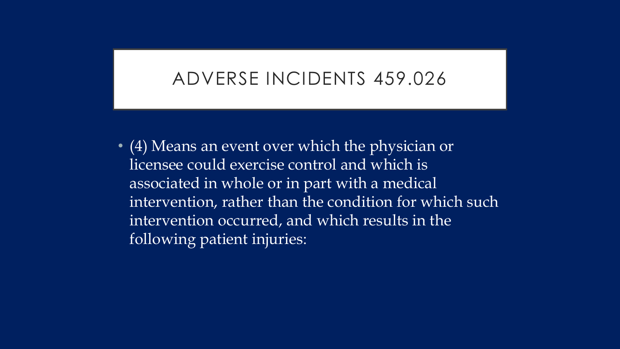#### ADVERSE INCIDENTS 459.026

• (4) Means an event over which the physician or licensee could exercise control and which is associated in whole or in part with a medical intervention, rather than the condition for which such intervention occurred, and which results in the following patient injuries: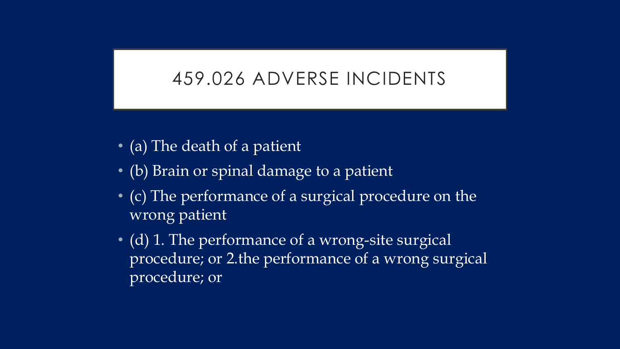### 459.026 ADVERSE INCIDENTS

- (a) The death of a patient
- (b) Brain or spinal damage to a patient
- (c) The performance of a surgical procedure on the wrong patient
- (d) 1. The performance of a wrong-site surgical procedure; or 2.the performance of a wrong surgical procedure; or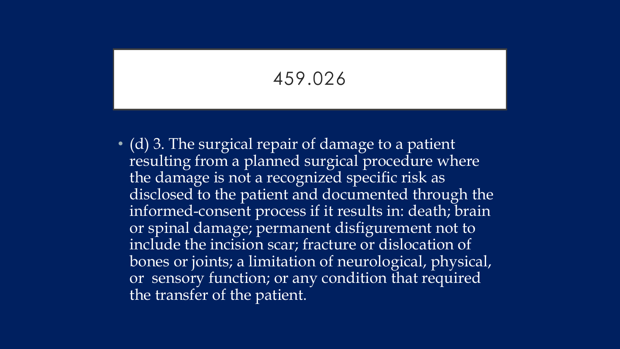## 459.026

• (d) 3. The surgical repair of damage to a patient resulting from a planned surgical procedure where the damage is not a recognized specific risk as disclosed to the patient and documented through the informed-consent process if it results in: death; brain or spinal damage; permanent disfigurement not to include the incision scar; fracture or dislocation of bones or joints; a limitation of neurological, physical, or sensory function; or any condition that required the transfer of the patient.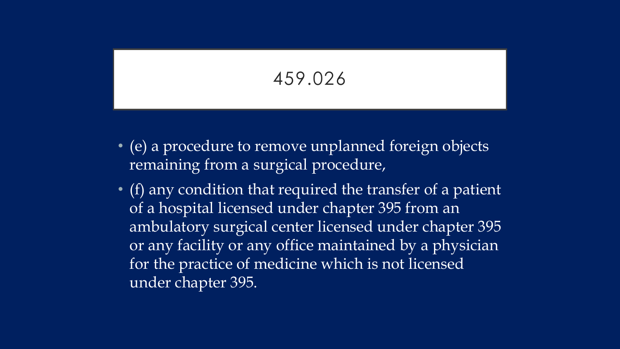# 459.026

- (e) a procedure to remove unplanned foreign objects remaining from a surgical procedure,
- $\bullet$  (f) any condition that required the transfer of a patient of a hospital licensed under chapter 395 from an ambulatory surgical center licensed under chapter 395 or any facility or any office maintained by a physician for the practice of medicine which is not licensed under chapter 395.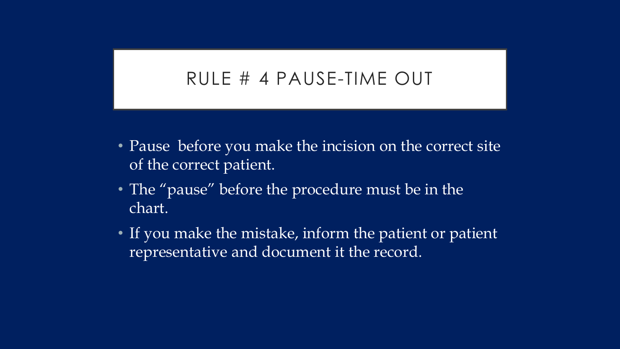#### RULE # 4 PAUSE-TIME OUT

- Pause before you make the incision on the correct site of the correct patient.
- The "pause" before the procedure must be in the chart.
- If you make the mistake, inform the patient or patient representative and document it the record.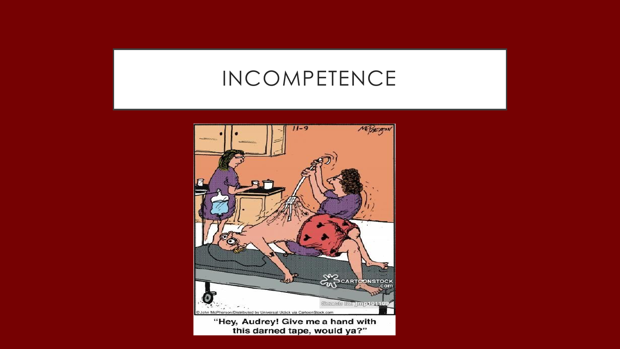# INCOMPETENCE

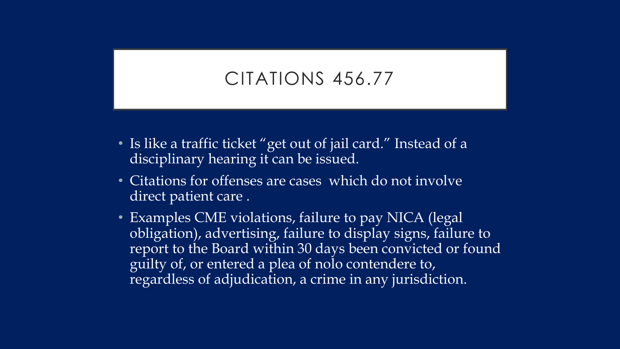### CITATIONS 456.77

- Is like a traffic ticket "get out of jail card." Instead of a disciplinary hearing it can be issued.
- Citations for offenses are cases which do not involve direct patient care .
- Examples CME violations, failure to pay NICA (legal) obligation), advertising, failure to display signs, failure to report to the Board within 30 days been convicted or found guilty of, or entered a plea of nolo contendere to, regardless of adjudication, a crime in any jurisdiction.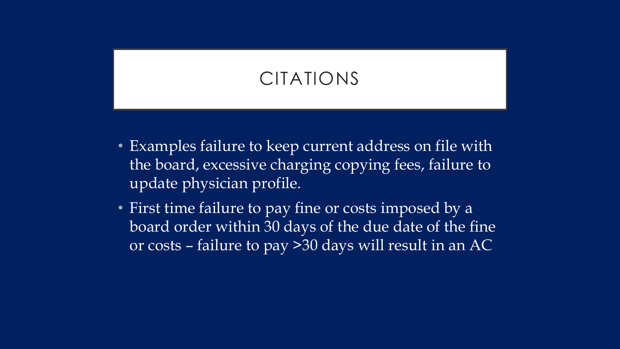# CITATIONS

- Examples failure to keep current address on file with the board, excessive charging copying fees, failure to update physician profile.
- First time failure to pay fine or costs imposed by a board order within 30 days of the due date of the fine or costs – failure to pay >30 days will result in an AC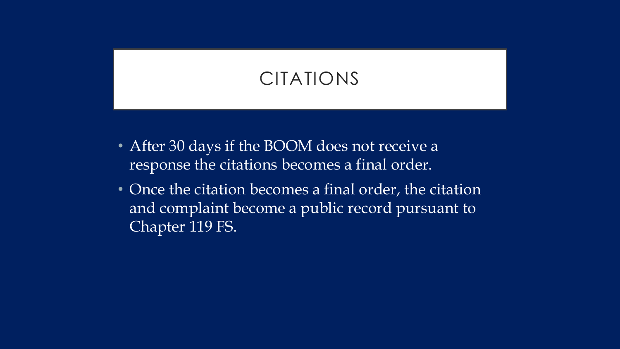# CITATIONS

- After 30 days if the BOOM does not receive a response the citations becomes a final order.
- Once the citation becomes a final order, the citation and complaint become a public record pursuant to Chapter 119 FS.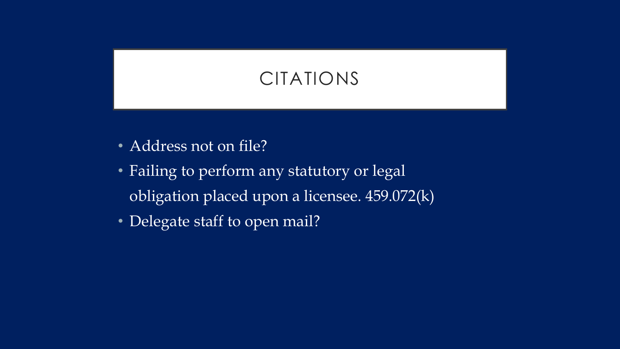# CITATIONS

- Address not on file?
- Failing to perform any statutory or legal obligation placed upon a licensee. 459.072(k)
- Delegate staff to open mail?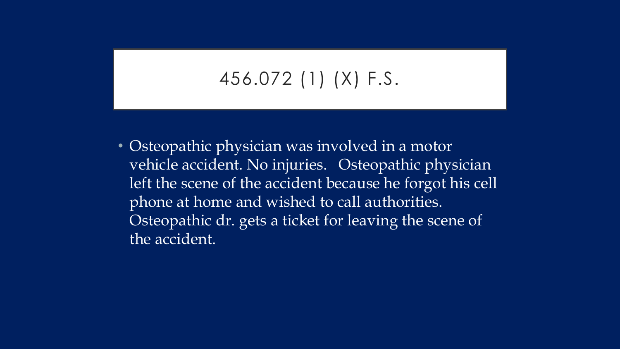# 456.072 (1) (X) F.S.

• Osteopathic physician was involved in a motor vehicle accident. No injuries. Osteopathic physician left the scene of the accident because he forgot his cell phone at home and wished to call authorities. Osteopathic dr. gets a ticket for leaving the scene of the accident.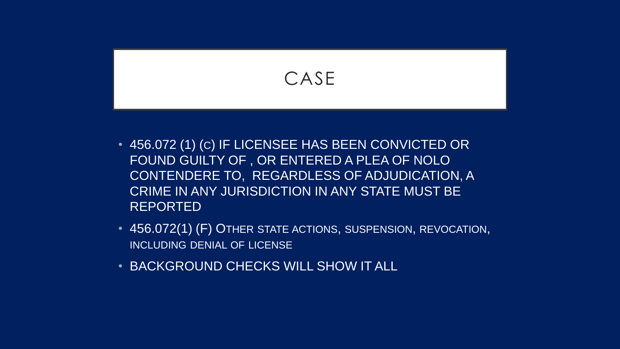

- 456.072(1) (F) OTHER STATE ACTIONS, SUSPENSION, REVOCATION, INCLUDING DENIAL OF LICENSE
- BACKGROUND CHECKS WILL SHOW IT ALL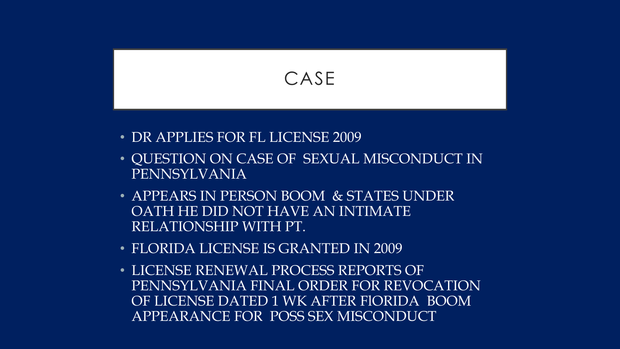

- DR APPLIES FOR FL LICENSE 2009
- QUESTION ON CASE OF SEXUAL MISCONDUCT IN PENNSYLVANIA
- APPEARS IN PERSON BOOM & STATES UNDER OATH HE DID NOT HAVE AN INTIMATE RELATIONSHIP WITH PT.
- FLORIDA LICENSE IS GRANTED IN 2009
- LICENSE RENEWAL PROCESS REPORTS OF PENNSYLVANIA FINAL ORDER FOR REVOCATION OF LICENSE DATED 1 WK AFTER FlORIDA BOOM APPEARANCE FOR POSS SEX MISCONDUCT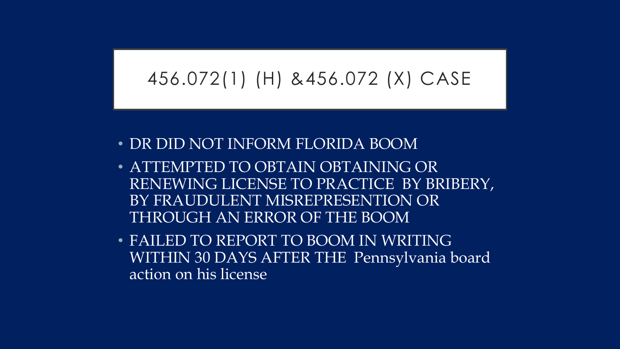## 456.072(1) (H) &456.072 (X) CASE

- DR DID NOT INFORM FLORIDA BOOM
- ATTEMPTED TO OBTAIN OBTAINING OR RENEWING LICENSE TO PRACTICE BY BRIBERY, BY FRAUDULENT MISREPRESENTION OR THROUGH AN ERROR OF THE BOOM
- FAILED TO REPORT TO BOOM IN WRITING WITHIN 30 DAYS AFTER THE Pennsylvania board action on his license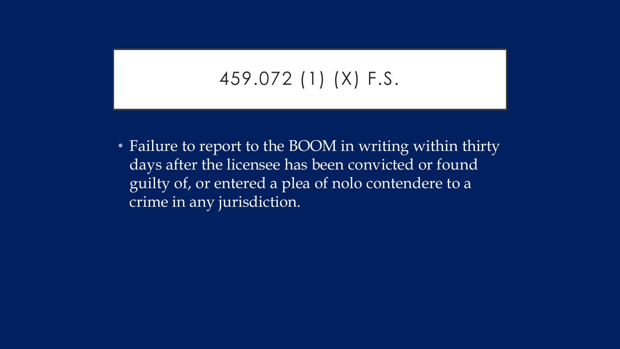# 459.072 (1) (X) F.S.

• Failure to report to the BOOM in writing within thirty days after the licensee has been convicted or found guilty of, or entered a plea of nolo contendere to a crime in any jurisdiction.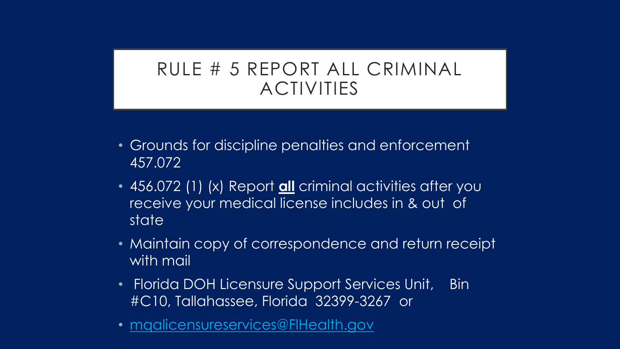### RULE # 5 REPORT ALL CRIMINAL ACTIVITIES

- Grounds for discipline penalties and enforcement 457.072
- 456.072 (1) (x) Report **all** criminal activities after you receive your medical license includes in & out of state
- Maintain copy of correspondence and return receipt with mail
- Florida DOH Licensure Support Services Unit, Bin #C10, Tallahassee, Florida 32399-3267 or
- [mqalicensureservices@FlHealth.gov](mailto:mqalicensureservices@FlHealth.gov)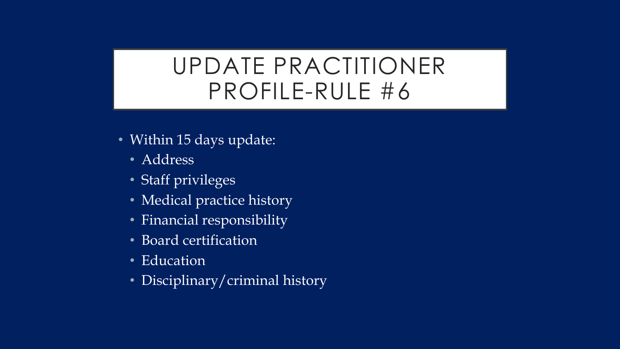# UPDATE PRACTITIONER PROFILE-RULE #6

- Within 15 days update:
	- Address
	- Staff privileges
	- Medical practice history
	- Financial responsibility
	- Board certification
	- Education
	- Disciplinary/criminal history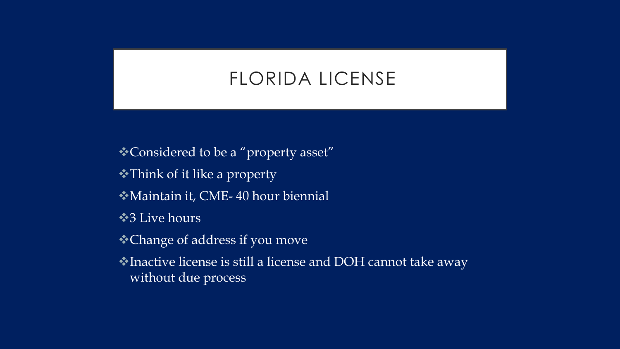### FLORIDA LICENSE

- Considered to be a "property asset" Think of it like a property Maintain it, CME- 40 hour biennial
- **◆3 Live hours**
- Change of address if you move
- Inactive license is still a license and DOH cannot take away without due process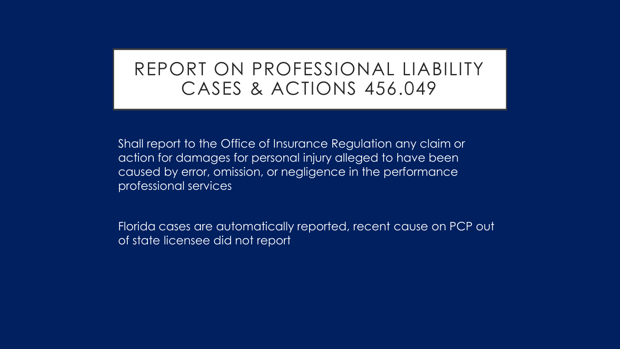### REPORT ON PROFESSIONAL LIABILITY CASES & ACTIONS 456.049

Shall report to the Office of Insurance Regulation any claim or action for damages for personal injury alleged to have been caused by error, omission, or negligence in the performance professional services

Florida cases are automatically reported, recent cause on PCP out of state licensee did not report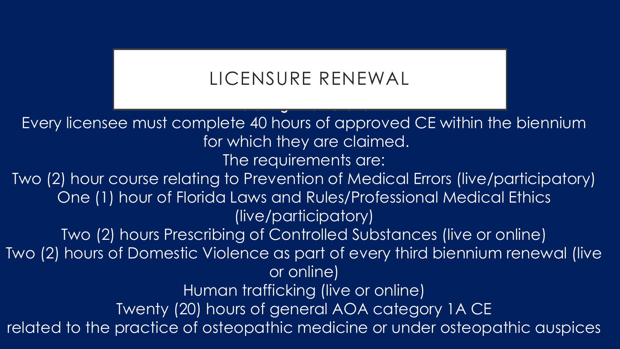# LICENSURE RENEWAL

**Following Initial Renewal**

Every licensee must complete 40 hours of approved CE within the biennium for which they are claimed. The requirements are: Two (2) hour course relating to Prevention of Medical Errors (live/participatory) One (1) hour of Florida Laws and Rules/Professional Medical Ethics (live/participatory) Two (2) hours Prescribing of Controlled Substances (live or online) Two (2) hours of Domestic Violence as part of every third biennium renewal (live or online) Human trafficking (live or online) Twenty (20) hours of general AOA category 1A CE related to the practice of osteopathic medicine or under osteopathic auspices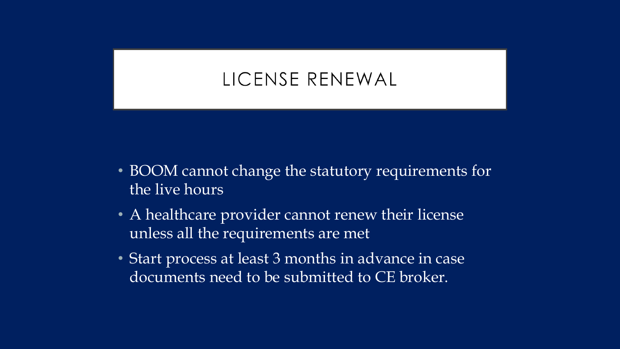# LICENSE RENEWAL

- BOOM cannot change the statutory requirements for the live hours
- A healthcare provider cannot renew their license unless all the requirements are met
- Start process at least 3 months in advance in case documents need to be submitted to CE broker.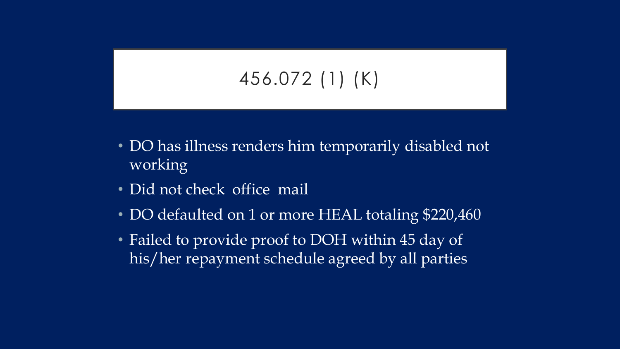# 456.072 (1) (K)

- DO has illness renders him temporarily disabled not working
- Did not check office mail
- DO defaulted on 1 or more HEAL totaling \$220,460
- Failed to provide proof to DOH within 45 day of his/her repayment schedule agreed by all parties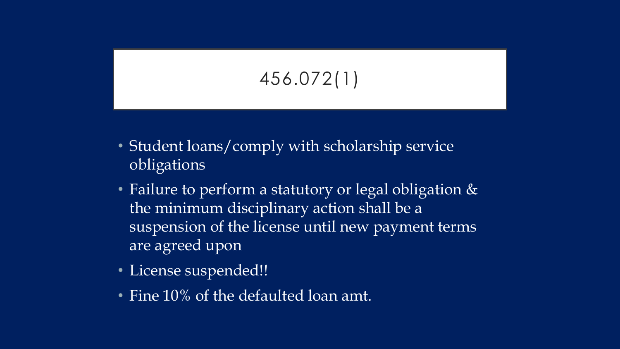# 456.072(1)

- Student loans/comply with scholarship service obligations
- Failure to perform a statutory or legal obligation & the minimum disciplinary action shall be a suspension of the license until new payment terms are agreed upon
- License suspended!!
- Fine 10% of the defaulted loan amt.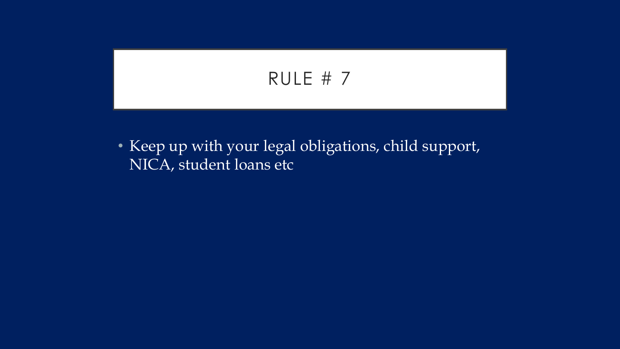# RULE # 7

• Keep up with your legal obligations, child support, NICA, student loans etc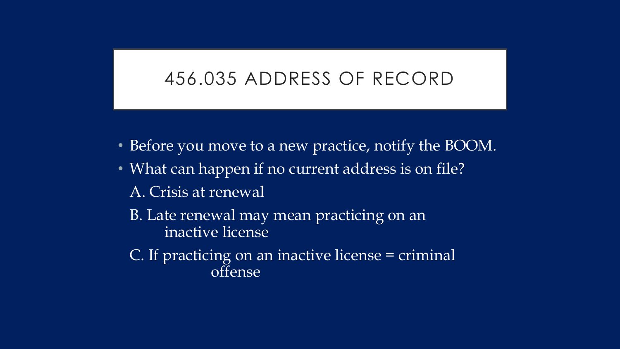#### 456.035 ADDRESS OF RECORD

- Before you move to a new practice, notify the BOOM.
- What can happen if no current address is on file?
	- A. Crisis at renewal
	- B. Late renewal may mean practicing on an inactive license
	- C. If practicing on an inactive license = criminal offense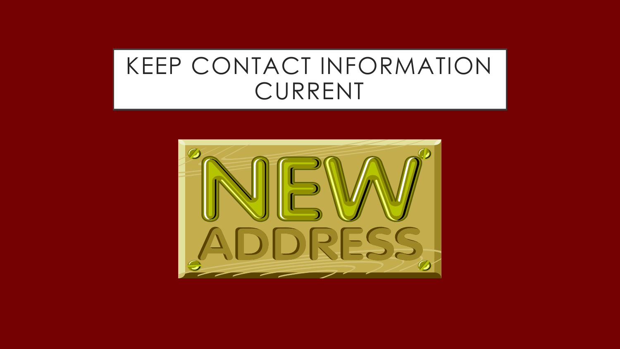# KEEP CONTACT INFORMATION CURRENT

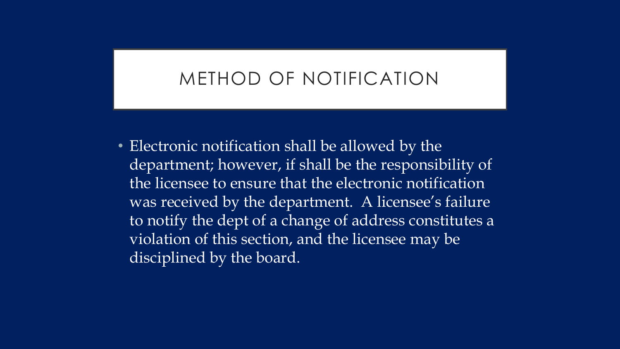### METHOD OF NOTIFICATION

• Electronic notification shall be allowed by the department; however, if shall be the responsibility of the licensee to ensure that the electronic notification was received by the department. A licensee's failure to notify the dept of a change of address constitutes a violation of this section, and the licensee may be disciplined by the board.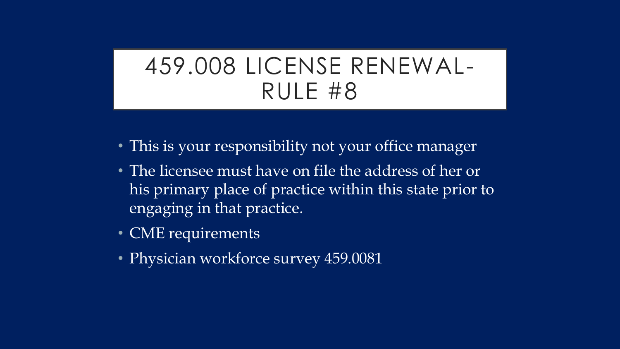# 459.008 LICENSE RENEWAL-RULE #8

- This is your responsibility not your office manager
- The licensee must have on file the address of her or his primary place of practice within this state prior to engaging in that practice.
- CME requirements
- Physician workforce survey 459.0081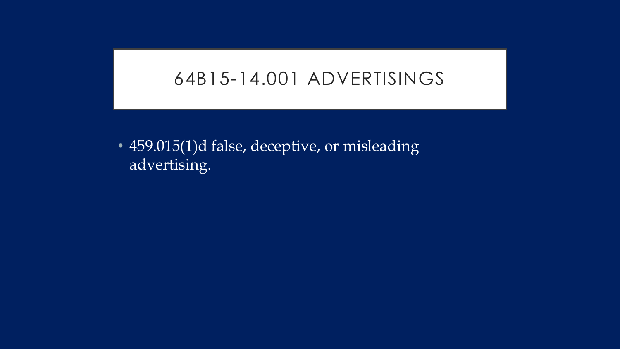#### 64B15-14.001 ADVERTISINGS

• 459.015(1)d false, deceptive, or misleading advertising.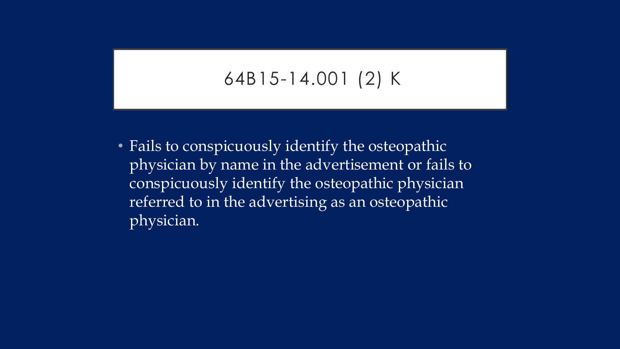### 64B15-14.001 (2) K

• Fails to conspicuously identify the osteopathic physician by name in the advertisement or fails to conspicuously identify the osteopathic physician referred to in the advertising as an osteopathic physician.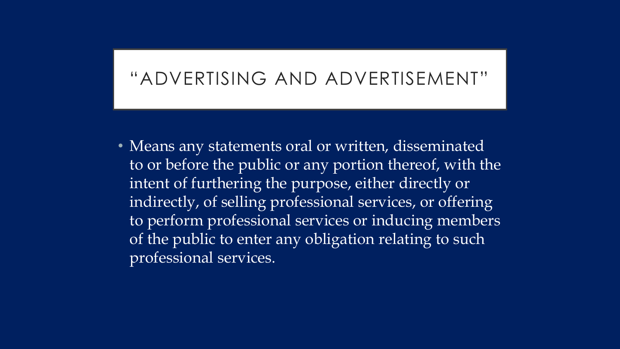### "ADVERTISING AND ADVERTISEMENT"

• Means any statements oral or written, disseminated to or before the public or any portion thereof, with the intent of furthering the purpose, either directly or indirectly, of selling professional services, or offering to perform professional services or inducing members of the public to enter any obligation relating to such professional services.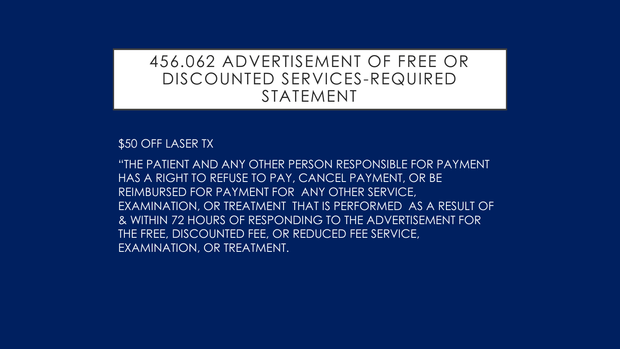#### 456.062 ADVERTISEMENT OF FREE OR DISCOUNTED SERVICES-REQUIRED STATEMENT

\$50 OFF LASER TX

"THE PATIENT AND ANY OTHER PERSON RESPONSIBLE FOR PAYMENT HAS A RIGHT TO REFUSE TO PAY, CANCEL PAYMENT, OR BE REIMBURSED FOR PAYMENT FOR ANY OTHER SERVICE, EXAMINATION, OR TREATMENT THAT IS PERFORMED AS A RESULT OF & WITHIN 72 HOURS OF RESPONDING TO THE ADVERTISEMENT FOR THE FREE, DISCOUNTED FEE, OR REDUCED FEE SERVICE, EXAMINATION, OR TREATMENT.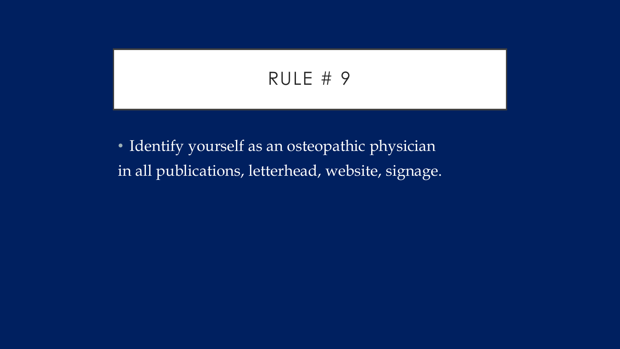## RULE # 9

• Identify yourself as an osteopathic physician in all publications, letterhead, website, signage.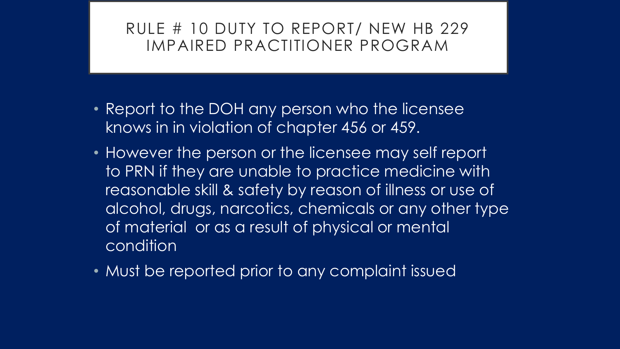#### RULE # 10 DUTY TO REPORT/ NEW HB 229 IMPAIRED PRACTITIONER PROGRAM

- Report to the DOH any person who the licensee knows in in violation of chapter 456 or 459.
- However the person or the licensee may self report to PRN if they are unable to practice medicine with reasonable skill & safety by reason of illness or use of alcohol, drugs, narcotics, chemicals or any other type of material or as a result of physical or mental condition
- Must be reported prior to any complaint issued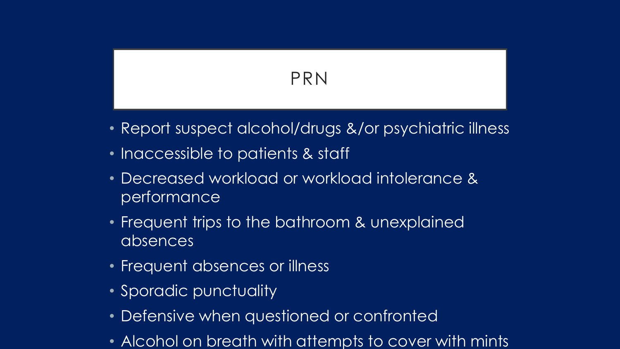## PRN

- Report suspect alcohol/drugs &/or psychiatric illness
- Inaccessible to patients & staff
- Decreased workload or workload intolerance & performance
- Frequent trips to the bathroom & unexplained absences
- Frequent absences or illness
- Sporadic punctuality
- Defensive when questioned or confronted
- Alcohol on breath with attempts to cover with mints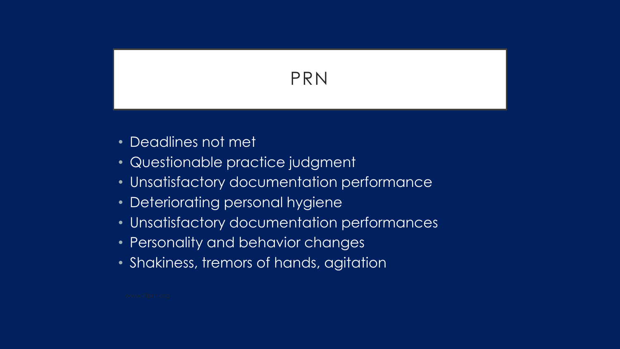## PRN

- Deadlines not met
- Questionable practice judgment
- Unsatisfactory documentation performance
- Deteriorating personal hygiene
- Unsatisfactory documentation performances
- Personality and behavior changes
- Shakiness, tremors of hands, agitation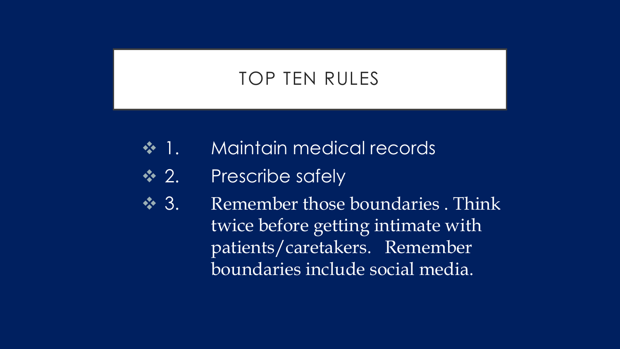## TOP TEN RULES

- **→ 1.** Maintain medical records
- **→ 2.** Prescribe safely
- ◆ 3. Remember those boundaries . Think twice before getting intimate with patients/caretakers. Remember boundaries include social media.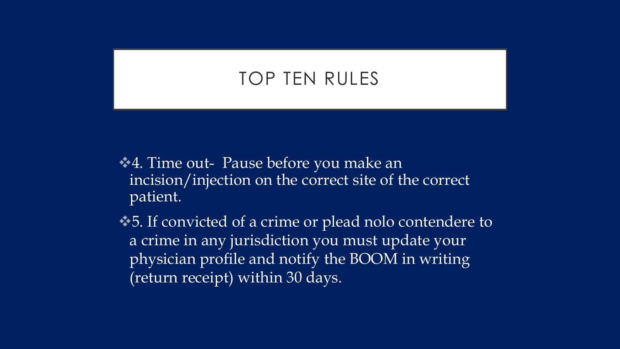## TOP TEN RULES

- $\triangle4$ **. Time out- Pause before you make an** incision/injection on the correct site of the correct patient.
- $\triangle$ **5.** If convicted of a crime or plead nolo contendere to a crime in any jurisdiction you must update your physician profile and notify the BOOM in writing (return receipt) within 30 days..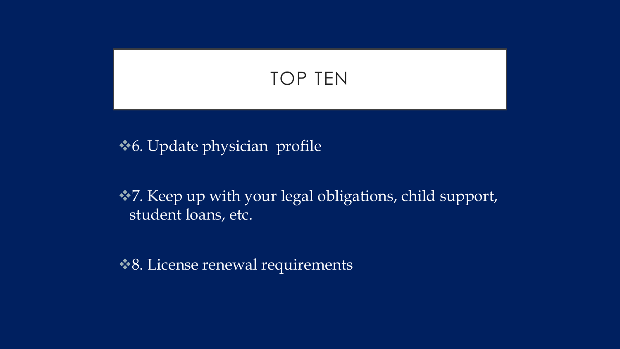## TOP TEN

**◆6.** Update physician profile

◆7. Keep up with your legal obligations, child support, student loans, etc.

**◆ 8. License renewal requirements**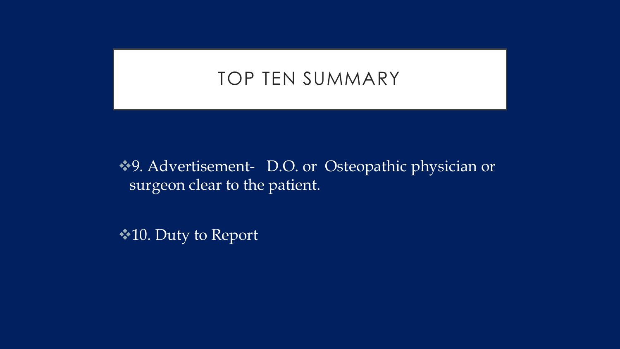## TOP TEN SUMMARY

◆9. Advertisement- D.O. or Osteopathic physician or surgeon clear to the patient.

**★10. Duty to Report**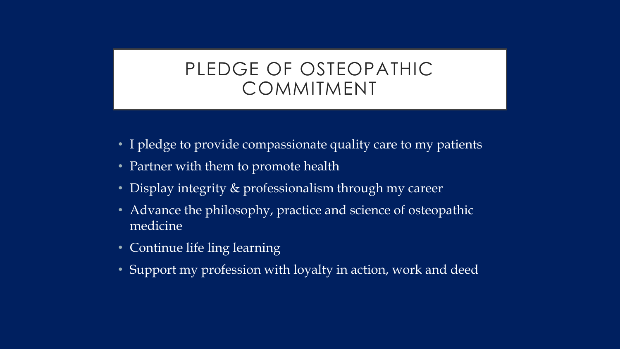## PLEDGE OF OSTEOPATHIC COMMITMENT

- I pledge to provide compassionate quality care to my patients
- Partner with them to promote health
- Display integrity & professionalism through my career
- Advance the philosophy, practice and science of osteopathic medicine
- Continue life ling learning
- Support my profession with loyalty in action, work and deed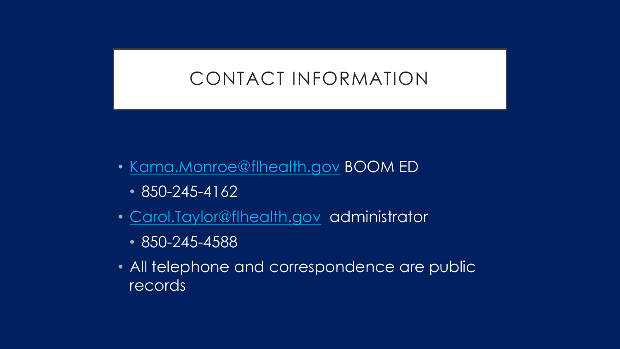## CONTACT INFORMATION

- [Kama.Monroe@flhealth.gov](mailto:Kama.Monroe@flhealth.gov) BOOM ED
	- 850-245-4162
- [Carol.Taylor@flhealth.gov](mailto:Carol.Taylor@flhealth.gov) administrator
	- 850-245-4588
- All telephone and correspondence are public records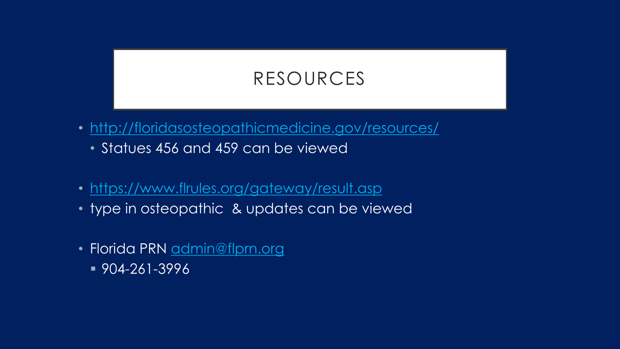## RESOURCES

- <http://floridasosteopathicmedicine.gov/resources/>
	- Statues 456 and 459 can be viewed
- <https://www.flrules.org/gateway/result.asp>
- type in osteopathic & updates can be viewed
- Florida PRN [admin@flprn.org](mailto:admin@flprn.org)
	- 904-261-3996